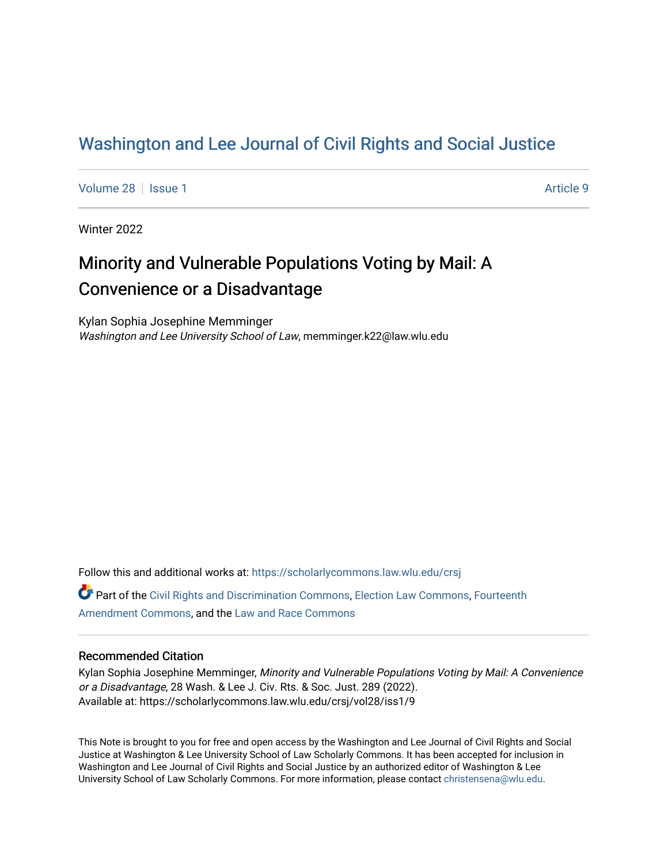## [Washington and Lee Journal of Civil Rights and Social Justice](https://scholarlycommons.law.wlu.edu/crsj)

[Volume 28](https://scholarlycommons.law.wlu.edu/crsj/vol28) | [Issue 1](https://scholarlycommons.law.wlu.edu/crsj/vol28/iss1) Article 9

Winter 2022

# Minority and Vulnerable Populations Voting by Mail: A Convenience or a Disadvantage

Kylan Sophia Josephine Memminger Washington and Lee University School of Law, memminger.k22@law.wlu.edu

Follow this and additional works at: [https://scholarlycommons.law.wlu.edu/crsj](https://scholarlycommons.law.wlu.edu/crsj?utm_source=scholarlycommons.law.wlu.edu%2Fcrsj%2Fvol28%2Fiss1%2F9&utm_medium=PDF&utm_campaign=PDFCoverPages)  Part of the [Civil Rights and Discrimination Commons,](http://network.bepress.com/hgg/discipline/585?utm_source=scholarlycommons.law.wlu.edu%2Fcrsj%2Fvol28%2Fiss1%2F9&utm_medium=PDF&utm_campaign=PDFCoverPages) [Election Law Commons](http://network.bepress.com/hgg/discipline/1121?utm_source=scholarlycommons.law.wlu.edu%2Fcrsj%2Fvol28%2Fiss1%2F9&utm_medium=PDF&utm_campaign=PDFCoverPages), [Fourteenth](http://network.bepress.com/hgg/discipline/1116?utm_source=scholarlycommons.law.wlu.edu%2Fcrsj%2Fvol28%2Fiss1%2F9&utm_medium=PDF&utm_campaign=PDFCoverPages)

[Amendment Commons](http://network.bepress.com/hgg/discipline/1116?utm_source=scholarlycommons.law.wlu.edu%2Fcrsj%2Fvol28%2Fiss1%2F9&utm_medium=PDF&utm_campaign=PDFCoverPages), and the [Law and Race Commons](http://network.bepress.com/hgg/discipline/1300?utm_source=scholarlycommons.law.wlu.edu%2Fcrsj%2Fvol28%2Fiss1%2F9&utm_medium=PDF&utm_campaign=PDFCoverPages) 

## Recommended Citation

Kylan Sophia Josephine Memminger, Minority and Vulnerable Populations Voting by Mail: A Convenience or a Disadvantage, 28 Wash. & Lee J. Civ. Rts. & Soc. Just. 289 (2022). Available at: https://scholarlycommons.law.wlu.edu/crsj/vol28/iss1/9

This Note is brought to you for free and open access by the Washington and Lee Journal of Civil Rights and Social Justice at Washington & Lee University School of Law Scholarly Commons. It has been accepted for inclusion in Washington and Lee Journal of Civil Rights and Social Justice by an authorized editor of Washington & Lee University School of Law Scholarly Commons. For more information, please contact [christensena@wlu.edu.](mailto:christensena@wlu.edu)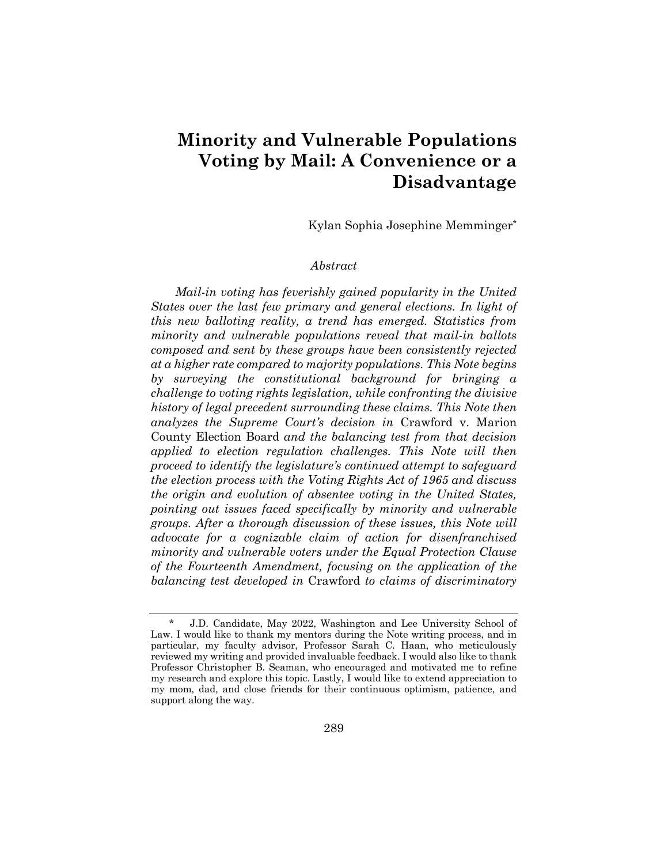## **Minority and Vulnerable Populations Voting by Mail: A Convenience or a Disadvantage**

Kylan Sophia Josephine Memminger\*

## *Abstract*

*Mail-in voting has feverishly gained popularity in the United States over the last few primary and general elections. In light of this new balloting reality, a trend has emerged. Statistics from minority and vulnerable populations reveal that mail-in ballots composed and sent by these groups have been consistently rejected at a higher rate compared to majority populations. This Note begins by surveying the constitutional background for bringing a challenge to voting rights legislation, while confronting the divisive history of legal precedent surrounding these claims. This Note then analyzes the Supreme Court's decision in* Crawford v. Marion County Election Board *and the balancing test from that decision applied to election regulation challenges. This Note will then proceed to identify the legislature's continued attempt to safeguard the election process with the Voting Rights Act of 1965 and discuss the origin and evolution of absentee voting in the United States, pointing out issues faced specifically by minority and vulnerable groups. After a thorough discussion of these issues, this Note will advocate for a cognizable claim of action for disenfranchised minority and vulnerable voters under the Equal Protection Clause of the Fourteenth Amendment, focusing on the application of the balancing test developed in* Crawford *to claims of discriminatory* 

J.D. Candidate, May 2022, Washington and Lee University School of Law. I would like to thank my mentors during the Note writing process, and in particular, my faculty advisor, Professor Sarah C. Haan, who meticulously reviewed my writing and provided invaluable feedback. I would also like to thank Professor Christopher B. Seaman, who encouraged and motivated me to refine my research and explore this topic. Lastly, I would like to extend appreciation to my mom, dad, and close friends for their continuous optimism, patience, and support along the way.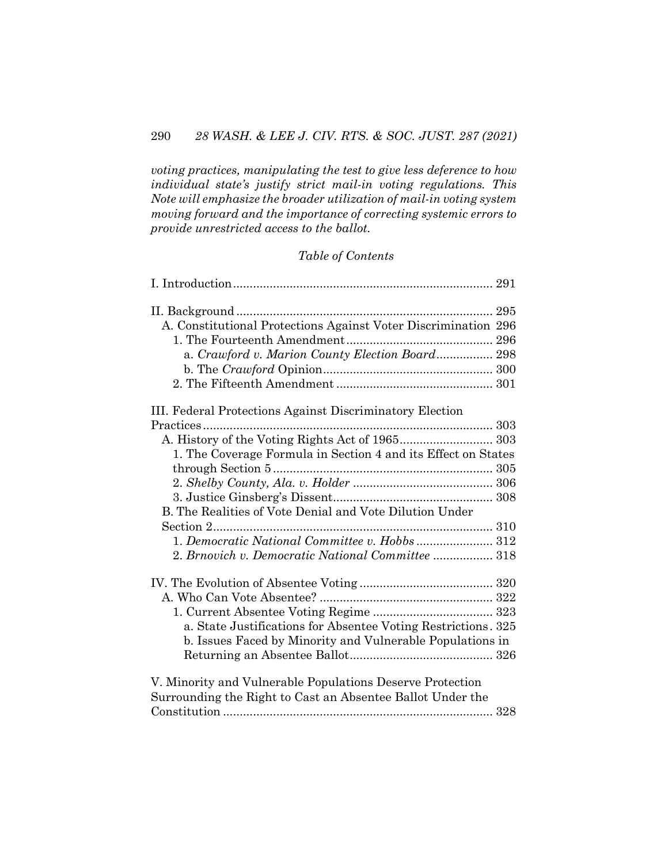*voting practices, manipulating the test to give less deference to how individual state's justify strict mail-in voting regulations. This Note will emphasize the broader utilization of mail-in voting system moving forward and the importance of correcting systemic errors to provide unrestricted access to the ballot.*

## *Table of Contents*

| A. Constitutional Protections Against Voter Discrimination 296 |  |  |
|----------------------------------------------------------------|--|--|
|                                                                |  |  |
| a. Crawford v. Marion County Election Board 298                |  |  |
|                                                                |  |  |
|                                                                |  |  |
| III. Federal Protections Against Discriminatory Election       |  |  |
|                                                                |  |  |
| A. History of the Voting Rights Act of 1965 303                |  |  |
| 1. The Coverage Formula in Section 4 and its Effect on States  |  |  |
|                                                                |  |  |
|                                                                |  |  |
|                                                                |  |  |
| B. The Realities of Vote Denial and Vote Dilution Under        |  |  |
|                                                                |  |  |
|                                                                |  |  |
| 2. Brnovich v. Democratic National Committee  318              |  |  |
|                                                                |  |  |
|                                                                |  |  |
|                                                                |  |  |
| a. State Justifications for Absentee Voting Restrictions. 325  |  |  |
| b. Issues Faced by Minority and Vulnerable Populations in      |  |  |
|                                                                |  |  |
| V. Minority and Vulnerable Populations Deserve Protection      |  |  |
| Surrounding the Right to Cast an Absentee Ballot Under the     |  |  |
|                                                                |  |  |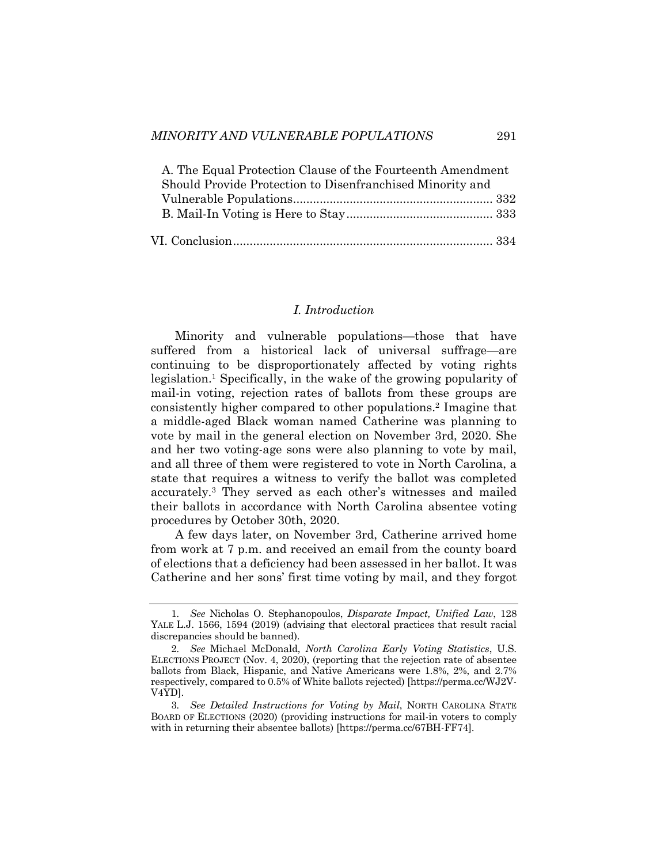| A. The Equal Protection Clause of the Fourteenth Amendment |  |
|------------------------------------------------------------|--|
| Should Provide Protection to Disenfranchised Minority and  |  |
|                                                            |  |
|                                                            |  |
|                                                            |  |
|                                                            |  |

#### *I. Introduction*

Minority and vulnerable populations—those that have suffered from a historical lack of universal suffrage—are continuing to be disproportionately affected by voting rights legislation.1 Specifically, in the wake of the growing popularity of mail-in voting, rejection rates of ballots from these groups are consistently higher compared to other populations.2 Imagine that a middle-aged Black woman named Catherine was planning to vote by mail in the general election on November 3rd, 2020. She and her two voting-age sons were also planning to vote by mail, and all three of them were registered to vote in North Carolina, a state that requires a witness to verify the ballot was completed accurately.3 They served as each other's witnesses and mailed their ballots in accordance with North Carolina absentee voting procedures by October 30th, 2020.

A few days later, on November 3rd, Catherine arrived home from work at 7 p.m. and received an email from the county board of elections that a deficiency had been assessed in her ballot. It was Catherine and her sons' first time voting by mail, and they forgot

<sup>1</sup>*. See* Nicholas O. Stephanopoulos, *Disparate Impact, Unified Law*, 128 YALE L.J. 1566, 1594 (2019) (advising that electoral practices that result racial discrepancies should be banned).

<sup>2</sup>*. See* Michael McDonald, *North Carolina Early Voting Statistics*, U.S. ELECTIONS PROJECT (Nov. 4, 2020), (reporting that the rejection rate of absentee ballots from Black, Hispanic, and Native Americans were 1.8%, 2%, and 2.7% respectively, compared to 0.5% of White ballots rejected) [https://perma.cc/WJ2V-V4YD].

<sup>3</sup>*. See Detailed Instructions for Voting by Mail*, NORTH CAROLINA STATE BOARD OF ELECTIONS (2020) (providing instructions for mail-in voters to comply with in returning their absentee ballots) [https://perma.cc/67BH-FF74].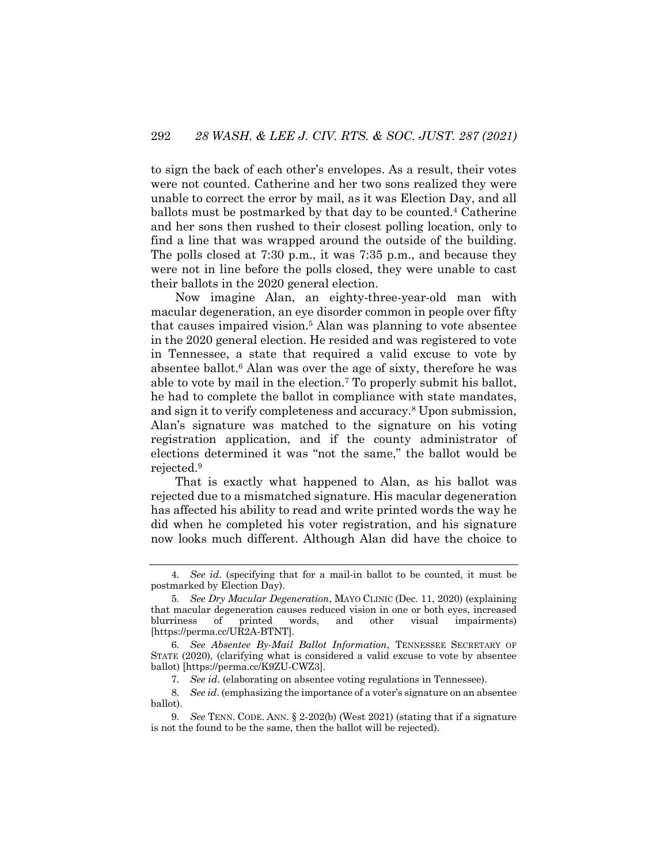to sign the back of each other's envelopes. As a result, their votes were not counted. Catherine and her two sons realized they were unable to correct the error by mail, as it was Election Day, and all ballots must be postmarked by that day to be counted.4 Catherine and her sons then rushed to their closest polling location, only to find a line that was wrapped around the outside of the building. The polls closed at 7:30 p.m., it was 7:35 p.m., and because they were not in line before the polls closed, they were unable to cast their ballots in the 2020 general election.

Now imagine Alan, an eighty-three-year-old man with macular degeneration, an eye disorder common in people over fifty that causes impaired vision.5 Alan was planning to vote absentee in the 2020 general election. He resided and was registered to vote in Tennessee, a state that required a valid excuse to vote by absentee ballot.<sup>6</sup> Alan was over the age of sixty, therefore he was able to vote by mail in the election.7 To properly submit his ballot, he had to complete the ballot in compliance with state mandates, and sign it to verify completeness and accuracy.8 Upon submission, Alan's signature was matched to the signature on his voting registration application, and if the county administrator of elections determined it was "not the same," the ballot would be rejected.9

That is exactly what happened to Alan, as his ballot was rejected due to a mismatched signature. His macular degeneration has affected his ability to read and write printed words the way he did when he completed his voter registration, and his signature now looks much different. Although Alan did have the choice to

<sup>4</sup>*. See id*. (specifying that for a mail-in ballot to be counted, it must be postmarked by Election Day).

<sup>5</sup>*. See Dry Macular Degeneration*, MAYO CLINIC (Dec. 11, 2020) (explaining that macular degeneration causes reduced vision in one or both eyes, increased blurriness of printed words, and other visual impairments) [https://perma.cc/UR2A-BTNT].

<sup>6</sup>*. See Absentee By-Mail Ballot Information*, TENNESSEE SECRETARY OF STATE (2020), (clarifying what is considered a valid excuse to vote by absentee ballot) [https://perma.cc/K9ZU-CWZ3].

<sup>7</sup>*. See id*. (elaborating on absentee voting regulations in Tennessee).

<sup>8</sup>*. See id*. (emphasizing the importance of a voter's signature on an absentee ballot).

<sup>9</sup>*. See* TENN. CODE. ANN. § 2-202(b) (West 2021) (stating that if a signature is not the found to be the same, then the ballot will be rejected).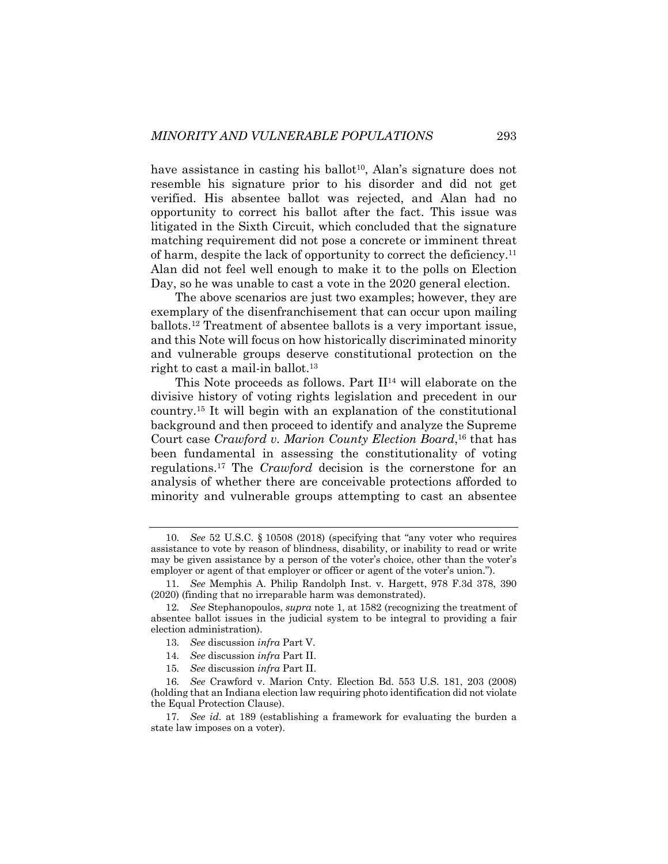have assistance in casting his ballot<sup>10</sup>, Alan's signature does not resemble his signature prior to his disorder and did not get verified. His absentee ballot was rejected, and Alan had no opportunity to correct his ballot after the fact. This issue was litigated in the Sixth Circuit, which concluded that the signature matching requirement did not pose a concrete or imminent threat of harm, despite the lack of opportunity to correct the deficiency.11 Alan did not feel well enough to make it to the polls on Election Day, so he was unable to cast a vote in the 2020 general election.

The above scenarios are just two examples; however, they are exemplary of the disenfranchisement that can occur upon mailing ballots.12 Treatment of absentee ballots is a very important issue, and this Note will focus on how historically discriminated minority and vulnerable groups deserve constitutional protection on the right to cast a mail-in ballot.<sup>13</sup>

This Note proceeds as follows. Part II<sup>14</sup> will elaborate on the divisive history of voting rights legislation and precedent in our country.15 It will begin with an explanation of the constitutional background and then proceed to identify and analyze the Supreme Court case *Crawford v. Marion County Election Board*, <sup>16</sup> that has been fundamental in assessing the constitutionality of voting regulations.17 The *Crawford* decision is the cornerstone for an analysis of whether there are conceivable protections afforded to minority and vulnerable groups attempting to cast an absentee

<sup>10</sup>*. See* 52 U.S.C. § 10508 (2018) (specifying that "any voter who requires assistance to vote by reason of blindness, disability, or inability to read or write may be given assistance by a person of the voter's choice, other than the voter's employer or agent of that employer or officer or agent of the voter's union.").

<sup>11</sup>*. See* Memphis A. Philip Randolph Inst. v. Hargett, 978 F.3d 378, 390 (2020) (finding that no irreparable harm was demonstrated).

<sup>12</sup>*. See* Stephanopoulos, *supra* note 1, at 1582 (recognizing the treatment of absentee ballot issues in the judicial system to be integral to providing a fair election administration).

<sup>13</sup>*. See* discussion *infra* Part V.

<sup>14</sup>*. See* discussion *infra* Part II.

<sup>15</sup>*. See* discussion *infra* Part II.

<sup>16</sup>*. See* Crawford v. Marion Cnty. Election Bd. 553 U.S. 181, 203 (2008) (holding that an Indiana election law requiring photo identification did not violate the Equal Protection Clause).

<sup>17</sup>*. See id*. at 189 (establishing a framework for evaluating the burden a state law imposes on a voter).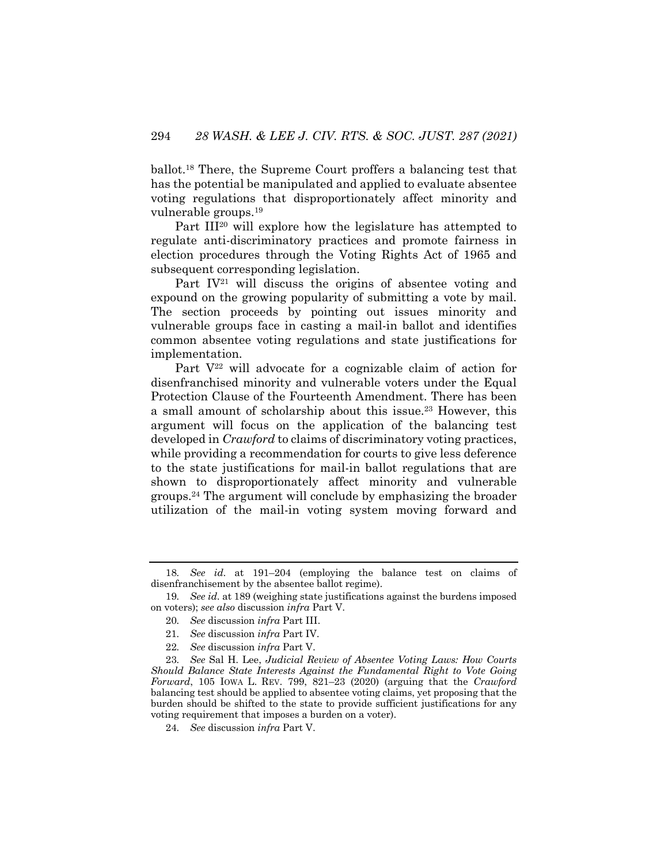ballot.18 There, the Supreme Court proffers a balancing test that has the potential be manipulated and applied to evaluate absentee voting regulations that disproportionately affect minority and vulnerable groups.19

Part III<sup>20</sup> will explore how the legislature has attempted to regulate anti-discriminatory practices and promote fairness in election procedures through the Voting Rights Act of 1965 and subsequent corresponding legislation.

Part  $IV^{21}$  will discuss the origins of absentee voting and expound on the growing popularity of submitting a vote by mail. The section proceeds by pointing out issues minority and vulnerable groups face in casting a mail-in ballot and identifies common absentee voting regulations and state justifications for implementation.

Part  $V^{22}$  will advocate for a cognizable claim of action for disenfranchised minority and vulnerable voters under the Equal Protection Clause of the Fourteenth Amendment. There has been a small amount of scholarship about this issue.<sup>23</sup> However, this argument will focus on the application of the balancing test developed in *Crawford* to claims of discriminatory voting practices, while providing a recommendation for courts to give less deference to the state justifications for mail-in ballot regulations that are shown to disproportionately affect minority and vulnerable groups.24 The argument will conclude by emphasizing the broader utilization of the mail-in voting system moving forward and

<sup>18</sup>*. See id*. at 191–204 (employing the balance test on claims of disenfranchisement by the absentee ballot regime).

<sup>19</sup>*. See id*. at 189 (weighing state justifications against the burdens imposed on voters); *see also* discussion *infra* Part V.

<sup>20</sup>*. See* discussion *infra* Part III.

<sup>21</sup>*. See* discussion *infra* Part IV.

<sup>22</sup>*. See* discussion *infra* Part V.

<sup>23</sup>*. See* Sal H. Lee, *Judicial Review of Absentee Voting Laws: How Courts Should Balance State Interests Against the Fundamental Right to Vote Going Forward*, 105 IOWA L. REV. 799, 821–23 (2020) (arguing that the *Crawford*  balancing test should be applied to absentee voting claims, yet proposing that the burden should be shifted to the state to provide sufficient justifications for any voting requirement that imposes a burden on a voter).

<sup>24</sup>*. See* discussion *infra* Part V.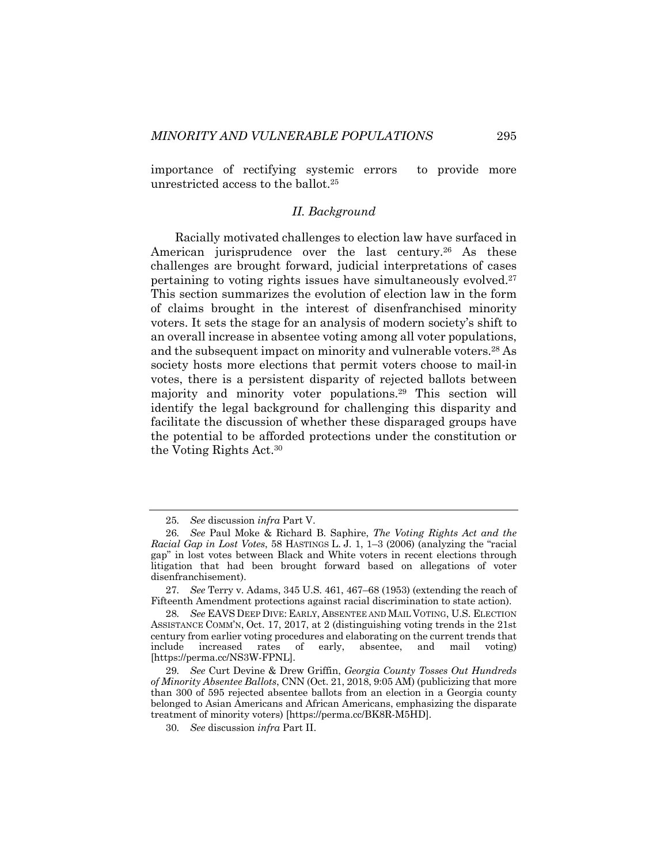importance of rectifying systemic errors to provide more unrestricted access to the ballot.25

## *II. Background*

Racially motivated challenges to election law have surfaced in American jurisprudence over the last century.<sup>26</sup> As these challenges are brought forward, judicial interpretations of cases pertaining to voting rights issues have simultaneously evolved.27 This section summarizes the evolution of election law in the form of claims brought in the interest of disenfranchised minority voters. It sets the stage for an analysis of modern society's shift to an overall increase in absentee voting among all voter populations, and the subsequent impact on minority and vulnerable voters.28 As society hosts more elections that permit voters choose to mail-in votes, there is a persistent disparity of rejected ballots between majority and minority voter populations.29 This section will identify the legal background for challenging this disparity and facilitate the discussion of whether these disparaged groups have the potential to be afforded protections under the constitution or the Voting Rights Act.30

<sup>25</sup>*. See* discussion *infra* Part V.

<sup>26</sup>*. See* Paul Moke & Richard B. Saphire, *The Voting Rights Act and the Racial Gap in Lost Votes*, 58 HASTINGS L. J. 1, 1–3 (2006) (analyzing the "racial gap" in lost votes between Black and White voters in recent elections through litigation that had been brought forward based on allegations of voter disenfranchisement).

<sup>27</sup>*. See* Terry v. Adams, 345 U.S. 461, 467–68 (1953) (extending the reach of Fifteenth Amendment protections against racial discrimination to state action).

<sup>28</sup>*. See* EAVS DEEP DIVE: EARLY, ABSENTEE AND MAIL VOTING, U.S. ELECTION ASSISTANCE COMM'N, Oct. 17, 2017, at 2 (distinguishing voting trends in the 21st century from earlier voting procedures and elaborating on the current trends that include increased rates of early, absentee, and mail voting) [https://perma.cc/NS3W-FPNL].

<sup>29</sup>*. See* Curt Devine & Drew Griffin, *Georgia County Tosses Out Hundreds of Minority Absentee Ballots*, CNN (Oct. 21, 2018, 9:05 AM) (publicizing that more than 300 of 595 rejected absentee ballots from an election in a Georgia county belonged to Asian Americans and African Americans, emphasizing the disparate treatment of minority voters) [https://perma.cc/BK8R-M5HD].

<sup>30</sup>*. See* discussion *infra* Part II.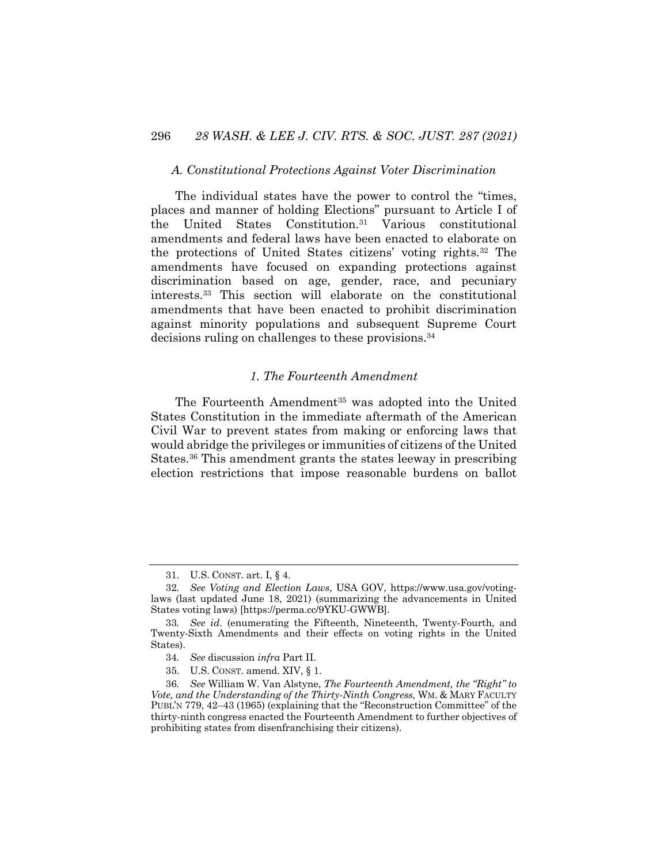#### *A. Constitutional Protections Against Voter Discrimination*

The individual states have the power to control the "times, places and manner of holding Elections" pursuant to Article I of the United States Constitution.31 Various constitutional amendments and federal laws have been enacted to elaborate on the protections of United States citizens' voting rights.32 The amendments have focused on expanding protections against discrimination based on age, gender, race, and pecuniary interests.33 This section will elaborate on the constitutional amendments that have been enacted to prohibit discrimination against minority populations and subsequent Supreme Court decisions ruling on challenges to these provisions.34

## *1. The Fourteenth Amendment*

The Fourteenth Amendment<sup>35</sup> was adopted into the United States Constitution in the immediate aftermath of the American Civil War to prevent states from making or enforcing laws that would abridge the privileges or immunities of citizens of the United States.36 This amendment grants the states leeway in prescribing election restrictions that impose reasonable burdens on ballot

<sup>31.</sup> U.S. CONST. art. I, § 4.

<sup>32</sup>*. See Voting and Election Laws*, USA GOV, https://www.usa.gov/votinglaws (last updated June 18, 2021) (summarizing the advancements in United States voting laws) [https://perma.cc/9YKU-GWWB].

<sup>33</sup>*. See id*. (enumerating the Fifteenth, Nineteenth, Twenty-Fourth, and Twenty-Sixth Amendments and their effects on voting rights in the United States).

<sup>34</sup>*. See* discussion *infra* Part II.

<sup>35.</sup> U.S. CONST. amend. XIV, § 1.

<sup>36</sup>*. See* William W. Van Alstyne, *The Fourteenth Amendment, the "Right" to Vote, and the Understanding of the Thirty-Ninth Congress*, WM. & MARY FACULTY PUBL'N 779, 42–43 (1965) (explaining that the "Reconstruction Committee" of the thirty-ninth congress enacted the Fourteenth Amendment to further objectives of prohibiting states from disenfranchising their citizens).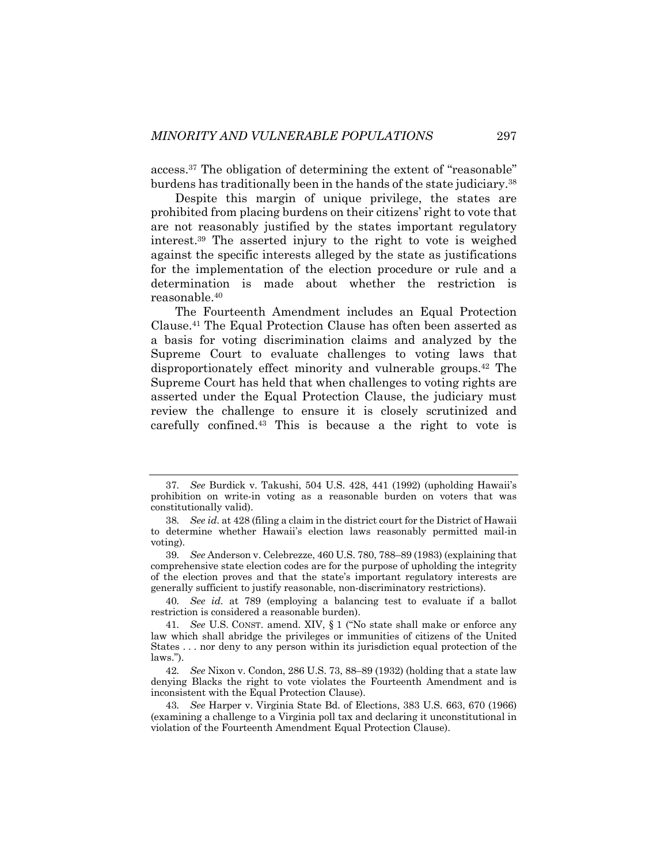access.37 The obligation of determining the extent of "reasonable" burdens has traditionally been in the hands of the state judiciary.38

Despite this margin of unique privilege, the states are prohibited from placing burdens on their citizens' right to vote that are not reasonably justified by the states important regulatory interest.39 The asserted injury to the right to vote is weighed against the specific interests alleged by the state as justifications for the implementation of the election procedure or rule and a determination is made about whether the restriction is reasonable.40

The Fourteenth Amendment includes an Equal Protection Clause.41 The Equal Protection Clause has often been asserted as a basis for voting discrimination claims and analyzed by the Supreme Court to evaluate challenges to voting laws that disproportionately effect minority and vulnerable groups.42 The Supreme Court has held that when challenges to voting rights are asserted under the Equal Protection Clause, the judiciary must review the challenge to ensure it is closely scrutinized and carefully confined.43 This is because a the right to vote is

40*. See id*. at 789 (employing a balancing test to evaluate if a ballot restriction is considered a reasonable burden).

43*. See* Harper v. Virginia State Bd. of Elections, 383 U.S. 663, 670 (1966) (examining a challenge to a Virginia poll tax and declaring it unconstitutional in violation of the Fourteenth Amendment Equal Protection Clause).

<sup>37</sup>*. See* Burdick v. Takushi, 504 U.S. 428, 441 (1992) (upholding Hawaii's prohibition on write-in voting as a reasonable burden on voters that was constitutionally valid).

<sup>38</sup>*. See id*. at 428 (filing a claim in the district court for the District of Hawaii to determine whether Hawaii's election laws reasonably permitted mail-in voting).

<sup>39</sup>*. See* Anderson v. Celebrezze, 460 U.S. 780, 788–89 (1983) (explaining that comprehensive state election codes are for the purpose of upholding the integrity of the election proves and that the state's important regulatory interests are generally sufficient to justify reasonable, non-discriminatory restrictions).

<sup>41</sup>*. See* U.S. CONST. amend. XIV, § 1 ("No state shall make or enforce any law which shall abridge the privileges or immunities of citizens of the United States . . . nor deny to any person within its jurisdiction equal protection of the laws.").

<sup>42</sup>*. See* Nixon v. Condon, 286 U.S. 73, 88–89 (1932) (holding that a state law denying Blacks the right to vote violates the Fourteenth Amendment and is inconsistent with the Equal Protection Clause).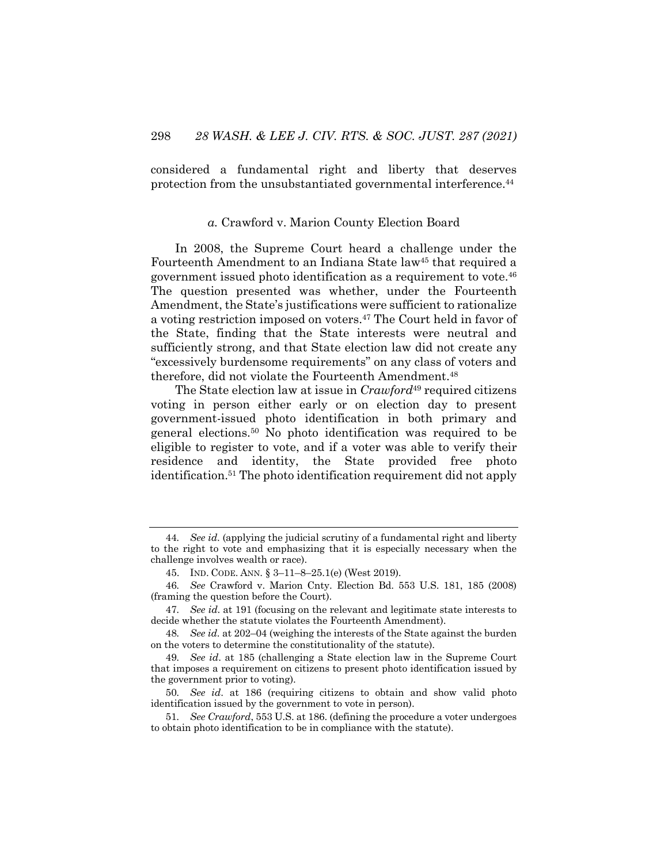considered a fundamental right and liberty that deserves protection from the unsubstantiated governmental interference.44

### *a.* Crawford v. Marion County Election Board

In 2008, the Supreme Court heard a challenge under the Fourteenth Amendment to an Indiana State law<sup>45</sup> that required a government issued photo identification as a requirement to vote.46 The question presented was whether, under the Fourteenth Amendment, the State's justifications were sufficient to rationalize a voting restriction imposed on voters.47 The Court held in favor of the State, finding that the State interests were neutral and sufficiently strong, and that State election law did not create any "excessively burdensome requirements" on any class of voters and therefore, did not violate the Fourteenth Amendment.48

The State election law at issue in *Crawford*<sup>49</sup> required citizens voting in person either early or on election day to present government-issued photo identification in both primary and general elections.50 No photo identification was required to be eligible to register to vote, and if a voter was able to verify their residence and identity, the State provided free photo identification.51 The photo identification requirement did not apply

<sup>44</sup>*. See id*. (applying the judicial scrutiny of a fundamental right and liberty to the right to vote and emphasizing that it is especially necessary when the challenge involves wealth or race).

<sup>45.</sup> IND. CODE. ANN. § 3–11–8–25.1(e) (West 2019).

<sup>46</sup>*. See* Crawford v. Marion Cnty. Election Bd. 553 U.S. 181, 185 (2008) (framing the question before the Court).

<sup>47</sup>*. See id*. at 191 (focusing on the relevant and legitimate state interests to decide whether the statute violates the Fourteenth Amendment).

<sup>48</sup>*. See id*. at 202–04 (weighing the interests of the State against the burden on the voters to determine the constitutionality of the statute).

<sup>49</sup>*. See id*. at 185 (challenging a State election law in the Supreme Court that imposes a requirement on citizens to present photo identification issued by the government prior to voting).

<sup>50</sup>*. See id*. at 186 (requiring citizens to obtain and show valid photo identification issued by the government to vote in person).

<sup>51</sup>*. See Crawford*, 553 U.S. at 186. (defining the procedure a voter undergoes to obtain photo identification to be in compliance with the statute).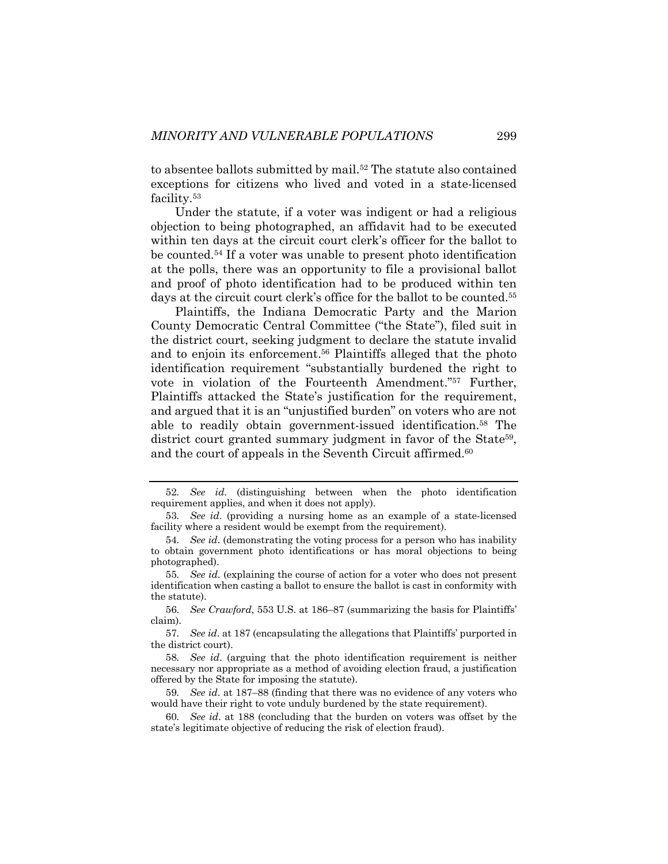to absentee ballots submitted by mail.<sup>52</sup> The statute also contained exceptions for citizens who lived and voted in a state-licensed facility.53

Under the statute, if a voter was indigent or had a religious objection to being photographed, an affidavit had to be executed within ten days at the circuit court clerk's officer for the ballot to be counted.54 If a voter was unable to present photo identification at the polls, there was an opportunity to file a provisional ballot and proof of photo identification had to be produced within ten days at the circuit court clerk's office for the ballot to be counted.<sup>55</sup>

Plaintiffs, the Indiana Democratic Party and the Marion County Democratic Central Committee ("the State"), filed suit in the district court, seeking judgment to declare the statute invalid and to enjoin its enforcement.56 Plaintiffs alleged that the photo identification requirement "substantially burdened the right to vote in violation of the Fourteenth Amendment."57 Further, Plaintiffs attacked the State's justification for the requirement, and argued that it is an "unjustified burden" on voters who are not able to readily obtain government-issued identification.58 The district court granted summary judgment in favor of the State<sup>59</sup>, and the court of appeals in the Seventh Circuit affirmed.<sup>60</sup>

<sup>52</sup>*. See id*. (distinguishing between when the photo identification requirement applies, and when it does not apply).

<sup>53</sup>*. See id*. (providing a nursing home as an example of a state-licensed facility where a resident would be exempt from the requirement).

<sup>54</sup>*. See id*. (demonstrating the voting process for a person who has inability to obtain government photo identifications or has moral objections to being photographed).

<sup>55</sup>*. See id*. (explaining the course of action for a voter who does not present identification when casting a ballot to ensure the ballot is cast in conformity with the statute).

<sup>56</sup>*. See Crawford*, 553 U.S. at 186–87 (summarizing the basis for Plaintiffs' claim).

<sup>57</sup>*. See id*. at 187 (encapsulating the allegations that Plaintiffs' purported in the district court).

<sup>58</sup>*. See id*. (arguing that the photo identification requirement is neither necessary nor appropriate as a method of avoiding election fraud, a justification offered by the State for imposing the statute).

<sup>59</sup>*. See id*. at 187–88 (finding that there was no evidence of any voters who would have their right to vote unduly burdened by the state requirement).

<sup>60</sup>*. See id*. at 188 (concluding that the burden on voters was offset by the state's legitimate objective of reducing the risk of election fraud).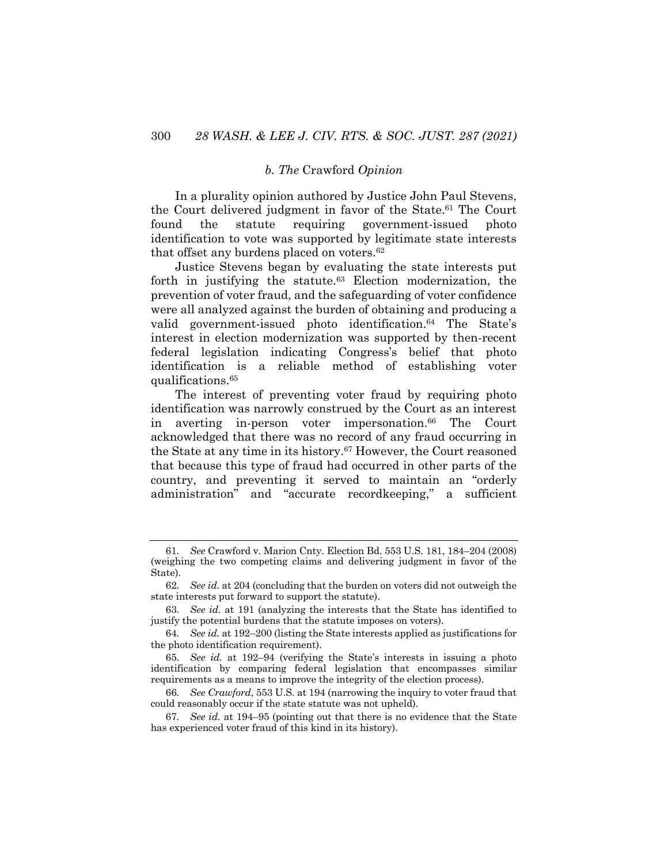#### *b. The* Crawford *Opinion*

In a plurality opinion authored by Justice John Paul Stevens, the Court delivered judgment in favor of the State.<sup>61</sup> The Court found the statute requiring government-issued photo identification to vote was supported by legitimate state interests that offset any burdens placed on voters.62

Justice Stevens began by evaluating the state interests put forth in justifying the statute. $63$  Election modernization, the prevention of voter fraud, and the safeguarding of voter confidence were all analyzed against the burden of obtaining and producing a valid government-issued photo identification.<sup>64</sup> The State's interest in election modernization was supported by then-recent federal legislation indicating Congress's belief that photo identification is a reliable method of establishing voter qualifications.65

The interest of preventing voter fraud by requiring photo identification was narrowly construed by the Court as an interest in averting in-person voter impersonation.<sup>66</sup> The Court acknowledged that there was no record of any fraud occurring in the State at any time in its history.67 However, the Court reasoned that because this type of fraud had occurred in other parts of the country, and preventing it served to maintain an "orderly administration" and "accurate recordkeeping," a sufficient

<sup>61</sup>*. See* Crawford v. Marion Cnty. Election Bd. 553 U.S. 181, 184–204 (2008) (weighing the two competing claims and delivering judgment in favor of the State).

<sup>62</sup>*. See id.* at 204 (concluding that the burden on voters did not outweigh the state interests put forward to support the statute).

<sup>63</sup>*. See id.* at 191 (analyzing the interests that the State has identified to justify the potential burdens that the statute imposes on voters).

<sup>64</sup>*. See id.* at 192–200 (listing the State interests applied as justifications for the photo identification requirement).

<sup>65</sup>*. See id.* at 192–94 (verifying the State's interests in issuing a photo identification by comparing federal legislation that encompasses similar requirements as a means to improve the integrity of the election process).

<sup>66</sup>*. See Crawford*, 553 U.S. at 194 (narrowing the inquiry to voter fraud that could reasonably occur if the state statute was not upheld).

<sup>67</sup>*. See id.* at 194–95 (pointing out that there is no evidence that the State has experienced voter fraud of this kind in its history).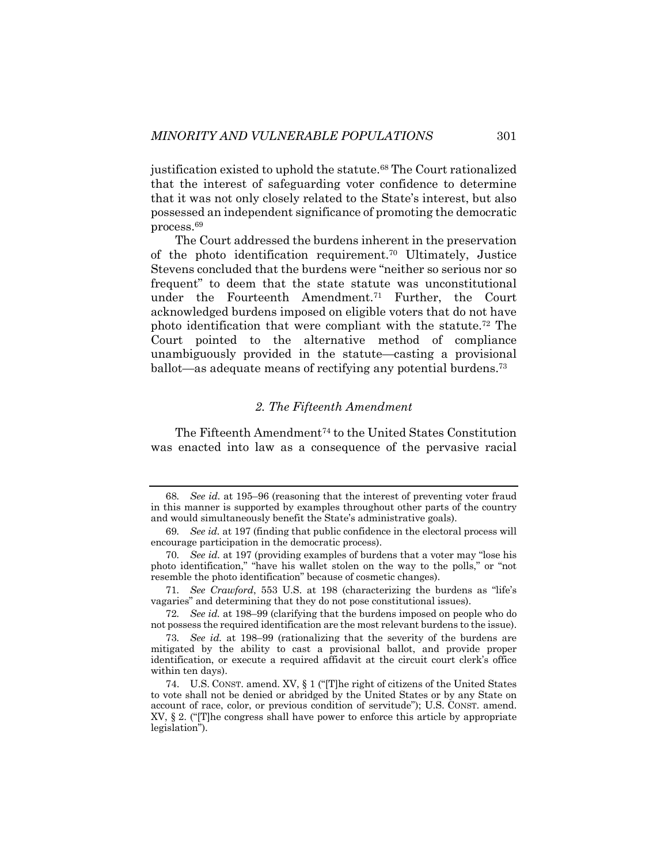justification existed to uphold the statute. <sup>68</sup> The Court rationalized that the interest of safeguarding voter confidence to determine that it was not only closely related to the State's interest, but also possessed an independent significance of promoting the democratic process.69

The Court addressed the burdens inherent in the preservation of the photo identification requirement.70 Ultimately, Justice Stevens concluded that the burdens were "neither so serious nor so frequent" to deem that the state statute was unconstitutional under the Fourteenth Amendment.71 Further, the Court acknowledged burdens imposed on eligible voters that do not have photo identification that were compliant with the statute.72 The Court pointed to the alternative method of compliance unambiguously provided in the statute—casting a provisional ballot—as adequate means of rectifying any potential burdens.<sup>73</sup>

#### *2. The Fifteenth Amendment*

The Fifteenth Amendment<sup>74</sup> to the United States Constitution was enacted into law as a consequence of the pervasive racial

<sup>68</sup>*. See id.* at 195–96 (reasoning that the interest of preventing voter fraud in this manner is supported by examples throughout other parts of the country and would simultaneously benefit the State's administrative goals).

<sup>69</sup>*. See id.* at 197 (finding that public confidence in the electoral process will encourage participation in the democratic process).

<sup>70</sup>*. See id.* at 197 (providing examples of burdens that a voter may "lose his photo identification," "have his wallet stolen on the way to the polls," or "not resemble the photo identification" because of cosmetic changes).

<sup>71</sup>*. See Crawford*, 553 U.S. at 198 (characterizing the burdens as "life's vagaries" and determining that they do not pose constitutional issues).

<sup>72</sup>*. See id.* at 198–99 (clarifying that the burdens imposed on people who do not possess the required identification are the most relevant burdens to the issue).

<sup>73</sup>*. See id.* at 198–99 (rationalizing that the severity of the burdens are mitigated by the ability to cast a provisional ballot, and provide proper identification, or execute a required affidavit at the circuit court clerk's office within ten days).

<sup>74.</sup> U.S. CONST. amend. XV, § 1 ("[T]he right of citizens of the United States to vote shall not be denied or abridged by the United States or by any State on account of race, color, or previous condition of servitude"); U.S. CONST. amend. XV, § 2. ("[T]he congress shall have power to enforce this article by appropriate legislation").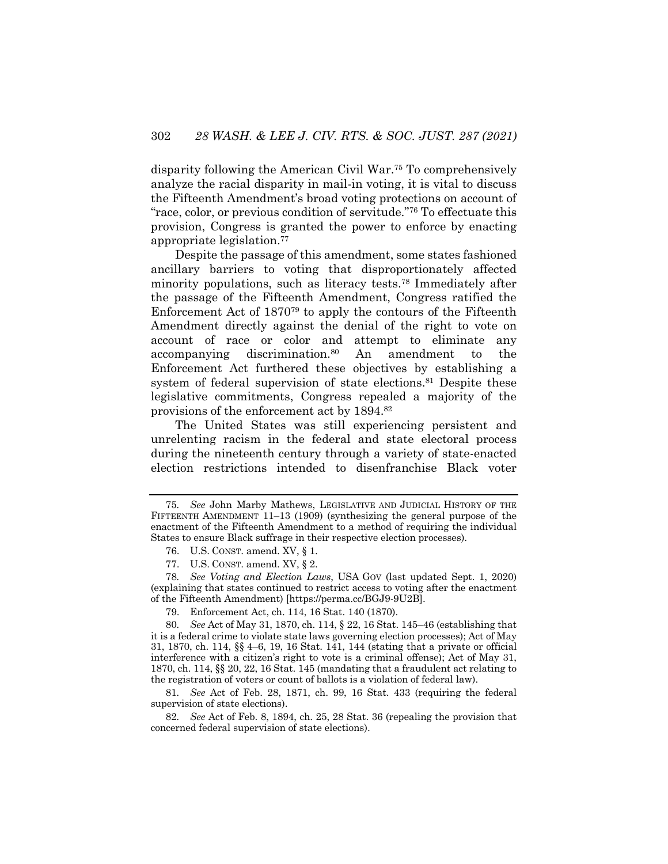disparity following the American Civil War.75 To comprehensively analyze the racial disparity in mail-in voting, it is vital to discuss the Fifteenth Amendment's broad voting protections on account of "race, color, or previous condition of servitude."76 To effectuate this provision, Congress is granted the power to enforce by enacting appropriate legislation.77

Despite the passage of this amendment, some states fashioned ancillary barriers to voting that disproportionately affected minority populations, such as literacy tests.<sup>78</sup> Immediately after the passage of the Fifteenth Amendment, Congress ratified the Enforcement Act of 187079 to apply the contours of the Fifteenth Amendment directly against the denial of the right to vote on account of race or color and attempt to eliminate any accompanying discrimination.80 An amendment to the Enforcement Act furthered these objectives by establishing a system of federal supervision of state elections.<sup>81</sup> Despite these legislative commitments, Congress repealed a majority of the provisions of the enforcement act by 1894.82

The United States was still experiencing persistent and unrelenting racism in the federal and state electoral process during the nineteenth century through a variety of state-enacted election restrictions intended to disenfranchise Black voter

79. Enforcement Act, ch. 114, 16 Stat. 140 (1870).

81*. See* Act of Feb. 28, 1871, ch. 99, 16 Stat. 433 (requiring the federal supervision of state elections).

82*. See* Act of Feb. 8, 1894, ch. 25, 28 Stat. 36 (repealing the provision that concerned federal supervision of state elections).

<sup>75</sup>*. See* John Marby Mathews, LEGISLATIVE AND JUDICIAL HISTORY OF THE FIFTEENTH AMENDMENT 11–13 (1909) (synthesizing the general purpose of the enactment of the Fifteenth Amendment to a method of requiring the individual States to ensure Black suffrage in their respective election processes).

<sup>76.</sup> U.S. CONST. amend. XV, § 1.

<sup>77.</sup> U.S. CONST. amend. XV, § 2.

<sup>78</sup>*. See Voting and Election Laws*, USA GOV (last updated Sept. 1, 2020) (explaining that states continued to restrict access to voting after the enactment of the Fifteenth Amendment) [https://perma.cc/BGJ9-9U2B].

<sup>80</sup>*. See* Act of May 31, 1870, ch. 114, § 22, 16 Stat. 145–46 (establishing that it is a federal crime to violate state laws governing election processes); Act of May 31, 1870, ch. 114, §§ 4–6, 19, 16 Stat. 141, 144 (stating that a private or official interference with a citizen's right to vote is a criminal offense); Act of May 31, 1870, ch. 114, §§ 20, 22, 16 Stat. 145 (mandating that a fraudulent act relating to the registration of voters or count of ballots is a violation of federal law).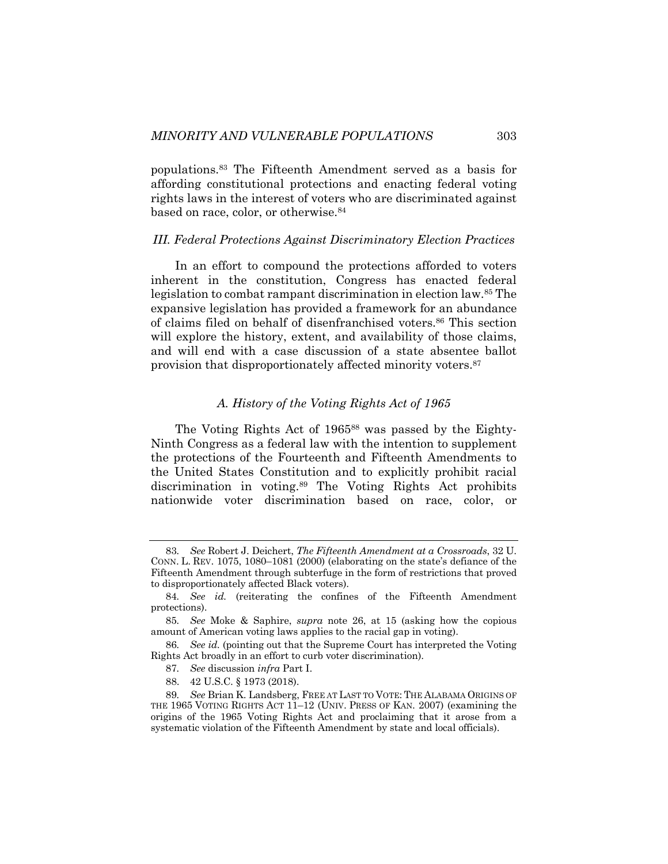populations.83 The Fifteenth Amendment served as a basis for affording constitutional protections and enacting federal voting rights laws in the interest of voters who are discriminated against based on race, color, or otherwise.84

## *III. Federal Protections Against Discriminatory Election Practices*

In an effort to compound the protections afforded to voters inherent in the constitution, Congress has enacted federal legislation to combat rampant discrimination in election law.85 The expansive legislation has provided a framework for an abundance of claims filed on behalf of disenfranchised voters.86 This section will explore the history, extent, and availability of those claims, and will end with a case discussion of a state absentee ballot provision that disproportionately affected minority voters.87

#### *A. History of the Voting Rights Act of 1965*

The Voting Rights Act of 1965<sup>88</sup> was passed by the Eighty-Ninth Congress as a federal law with the intention to supplement the protections of the Fourteenth and Fifteenth Amendments to the United States Constitution and to explicitly prohibit racial discrimination in voting.89 The Voting Rights Act prohibits nationwide voter discrimination based on race, color, or

<sup>83</sup>*. See* Robert J. Deichert, *The Fifteenth Amendment at a Crossroads*, 32 U. CONN. L. REV. 1075, 1080–1081 (2000) (elaborating on the state's defiance of the Fifteenth Amendment through subterfuge in the form of restrictions that proved to disproportionately affected Black voters).

<sup>84</sup>*. See id.* (reiterating the confines of the Fifteenth Amendment protections).

<sup>85</sup>*. See* Moke & Saphire, *supra* note 26, at 15 (asking how the copious amount of American voting laws applies to the racial gap in voting).

<sup>86</sup>*. See id.* (pointing out that the Supreme Court has interpreted the Voting Rights Act broadly in an effort to curb voter discrimination).

<sup>87</sup>*. See* discussion *infra* Part I.

<sup>88.</sup> 42 U.S.C. § 1973 (2018).

<sup>89</sup>*. See* Brian K. Landsberg, FREE AT LAST TO VOTE: THE ALABAMA ORIGINS OF THE 1965 VOTING RIGHTS ACT 11–12 (UNIV. PRESS OF KAN. 2007) (examining the origins of the 1965 Voting Rights Act and proclaiming that it arose from a systematic violation of the Fifteenth Amendment by state and local officials).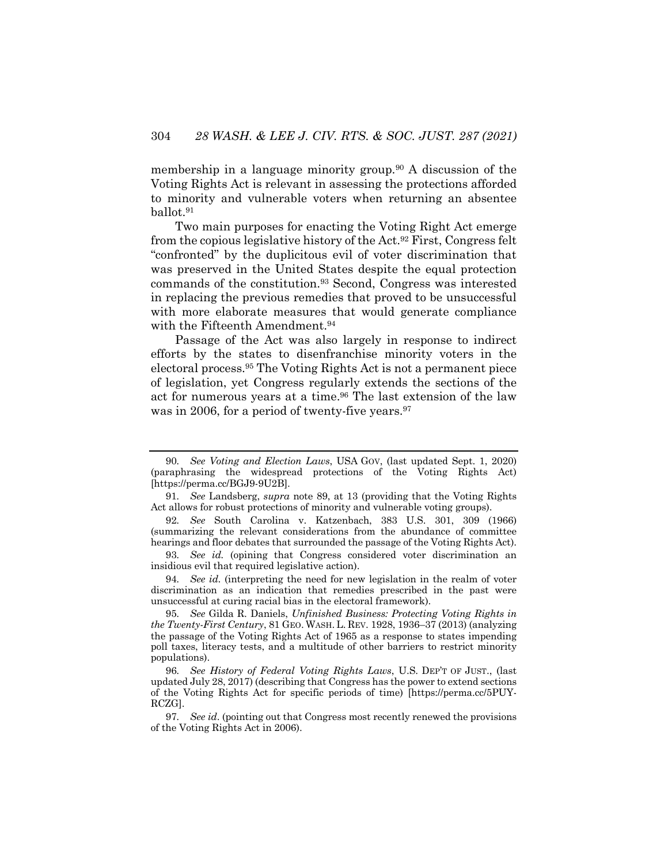membership in a language minority group.90 A discussion of the Voting Rights Act is relevant in assessing the protections afforded to minority and vulnerable voters when returning an absentee ballot.91

Two main purposes for enacting the Voting Right Act emerge from the copious legislative history of the Act.92 First, Congress felt "confronted" by the duplicitous evil of voter discrimination that was preserved in the United States despite the equal protection commands of the constitution.93 Second, Congress was interested in replacing the previous remedies that proved to be unsuccessful with more elaborate measures that would generate compliance with the Fifteenth Amendment.<sup>94</sup>

Passage of the Act was also largely in response to indirect efforts by the states to disenfranchise minority voters in the electoral process.95 The Voting Rights Act is not a permanent piece of legislation, yet Congress regularly extends the sections of the act for numerous years at a time.<sup>96</sup> The last extension of the law was in 2006, for a period of twenty-five years.<sup>97</sup>

94*. See id.* (interpreting the need for new legislation in the realm of voter discrimination as an indication that remedies prescribed in the past were unsuccessful at curing racial bias in the electoral framework).

<sup>90</sup>*. See Voting and Election Laws*, USA GOV, (last updated Sept. 1, 2020) (paraphrasing the widespread protections of the Voting Rights Act) [https://perma.cc/BGJ9-9U2B].

<sup>91</sup>*. See* Landsberg, *supra* note 89, at 13 (providing that the Voting Rights Act allows for robust protections of minority and vulnerable voting groups).

<sup>92</sup>*. See* South Carolina v. Katzenbach, 383 U.S. 301, 309 (1966) (summarizing the relevant considerations from the abundance of committee hearings and floor debates that surrounded the passage of the Voting Rights Act).

<sup>93</sup>*. See id.* (opining that Congress considered voter discrimination an insidious evil that required legislative action).

<sup>95</sup>*. See* Gilda R. Daniels, *Unfinished Business: Protecting Voting Rights in the Twenty-First Century*, 81 GEO. WASH. L. REV. 1928, 1936–37 (2013) (analyzing the passage of the Voting Rights Act of 1965 as a response to states impending poll taxes, literacy tests, and a multitude of other barriers to restrict minority populations).

<sup>96</sup>*. See History of Federal Voting Rights Laws*, U.S. DEP'T OF JUST., (last updated July 28, 2017) (describing that Congress has the power to extend sections of the Voting Rights Act for specific periods of time) [https://perma.cc/5PUY-RCZG].

<sup>97</sup>*. See id*. (pointing out that Congress most recently renewed the provisions of the Voting Rights Act in 2006).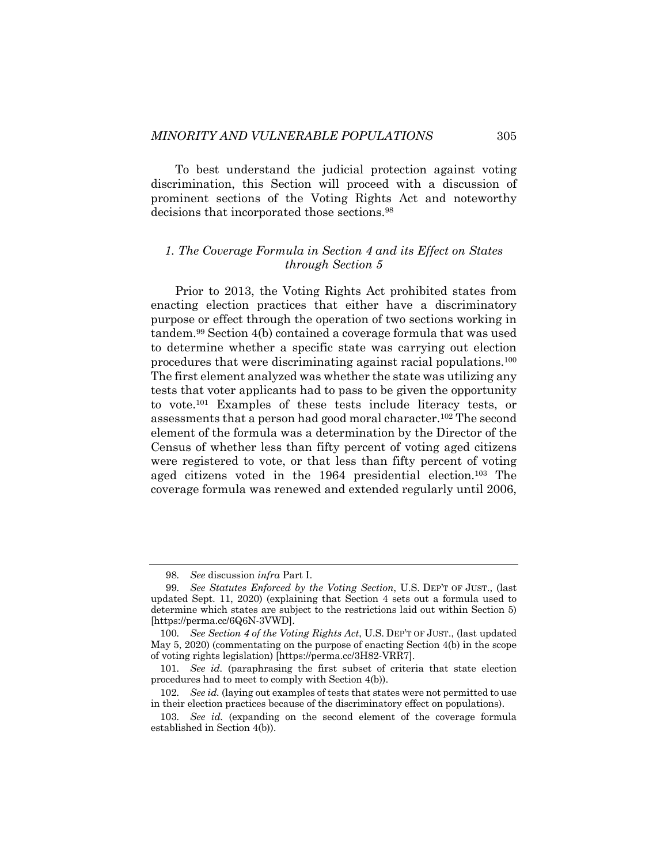To best understand the judicial protection against voting discrimination, this Section will proceed with a discussion of prominent sections of the Voting Rights Act and noteworthy decisions that incorporated those sections.98

## *1. The Coverage Formula in Section 4 and its Effect on States through Section 5*

Prior to 2013, the Voting Rights Act prohibited states from enacting election practices that either have a discriminatory purpose or effect through the operation of two sections working in tandem. <sup>99</sup> Section 4(b) contained a coverage formula that was used to determine whether a specific state was carrying out election procedures that were discriminating against racial populations.100 The first element analyzed was whether the state was utilizing any tests that voter applicants had to pass to be given the opportunity to vote.101 Examples of these tests include literacy tests, or assessments that a person had good moral character.102 The second element of the formula was a determination by the Director of the Census of whether less than fifty percent of voting aged citizens were registered to vote, or that less than fifty percent of voting aged citizens voted in the 1964 presidential election.103 The coverage formula was renewed and extended regularly until 2006,

<sup>98</sup>*. See* discussion *infra* Part I.

<sup>99</sup>*. See Statutes Enforced by the Voting Section*, U.S. DEP'T OF JUST., (last updated Sept. 11, 2020) (explaining that Section 4 sets out a formula used to determine which states are subject to the restrictions laid out within Section 5) [https://perma.cc/6Q6N-3VWD].

<sup>100</sup>*. See Section 4 of the Voting Rights Act*, U.S. DEP'T OF JUST., (last updated May 5, 2020) (commentating on the purpose of enacting Section 4(b) in the scope of voting rights legislation) [https://perma.cc/3H82-VRR7].

<sup>101</sup>*. See id.* (paraphrasing the first subset of criteria that state election procedures had to meet to comply with Section 4(b)).

<sup>102</sup>*. See id.* (laying out examples of tests that states were not permitted to use in their election practices because of the discriminatory effect on populations).

<sup>103</sup>*. See id.* (expanding on the second element of the coverage formula established in Section 4(b)).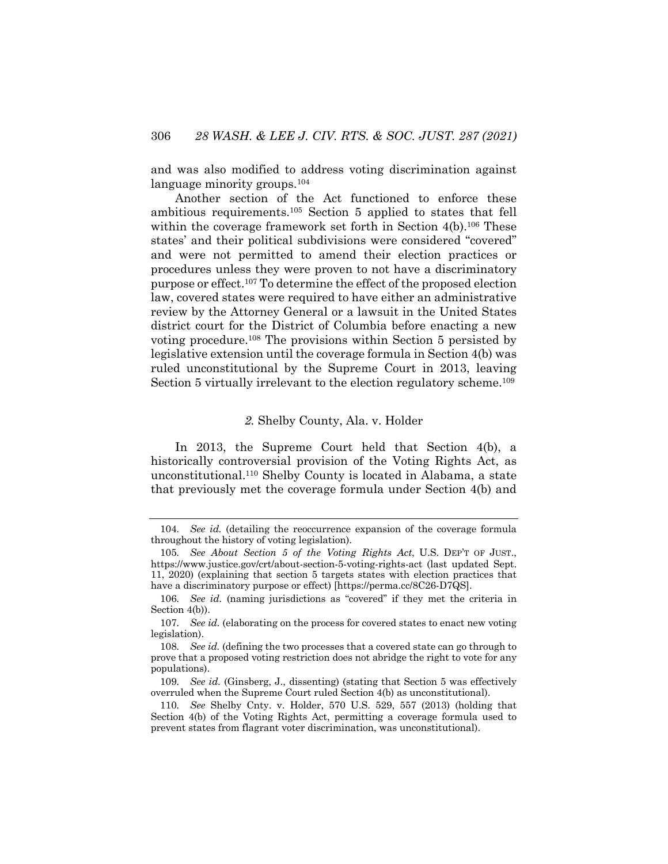and was also modified to address voting discrimination against language minority groups.<sup>104</sup>

Another section of the Act functioned to enforce these ambitious requirements.105 Section 5 applied to states that fell within the coverage framework set forth in Section  $4(b)$ .<sup>106</sup> These states' and their political subdivisions were considered "covered" and were not permitted to amend their election practices or procedures unless they were proven to not have a discriminatory purpose or effect.107 To determine the effect of the proposed election law, covered states were required to have either an administrative review by the Attorney General or a lawsuit in the United States district court for the District of Columbia before enacting a new voting procedure.108 The provisions within Section 5 persisted by legislative extension until the coverage formula in Section 4(b) was ruled unconstitutional by the Supreme Court in 2013, leaving Section 5 virtually irrelevant to the election regulatory scheme.<sup>109</sup>

## *2.* Shelby County, Ala. v. Holder

In 2013, the Supreme Court held that Section 4(b), a historically controversial provision of the Voting Rights Act, as unconstitutional.110 Shelby County is located in Alabama, a state that previously met the coverage formula under Section 4(b) and

<sup>104</sup>*. See id.* (detailing the reoccurrence expansion of the coverage formula throughout the history of voting legislation).

<sup>105</sup>*. See About Section 5 of the Voting Rights Act*, U.S. DEP'T OF JUST., https://www.justice.gov/crt/about-section-5-voting-rights-act (last updated Sept. 11, 2020) (explaining that section 5 targets states with election practices that have a discriminatory purpose or effect) [https://perma.cc/8C26-D7QS].

<sup>106</sup>*. See id.* (naming jurisdictions as "covered" if they met the criteria in Section 4(b)).

<sup>107</sup>*. See id.* (elaborating on the process for covered states to enact new voting legislation).

<sup>108</sup>*. See id.* (defining the two processes that a covered state can go through to prove that a proposed voting restriction does not abridge the right to vote for any populations).

<sup>109</sup>*. See id.* (Ginsberg, J., dissenting) (stating that Section 5 was effectively overruled when the Supreme Court ruled Section 4(b) as unconstitutional).

<sup>110</sup>*. See* Shelby Cnty. v. Holder, 570 U.S. 529, 557 (2013) (holding that Section 4(b) of the Voting Rights Act, permitting a coverage formula used to prevent states from flagrant voter discrimination, was unconstitutional).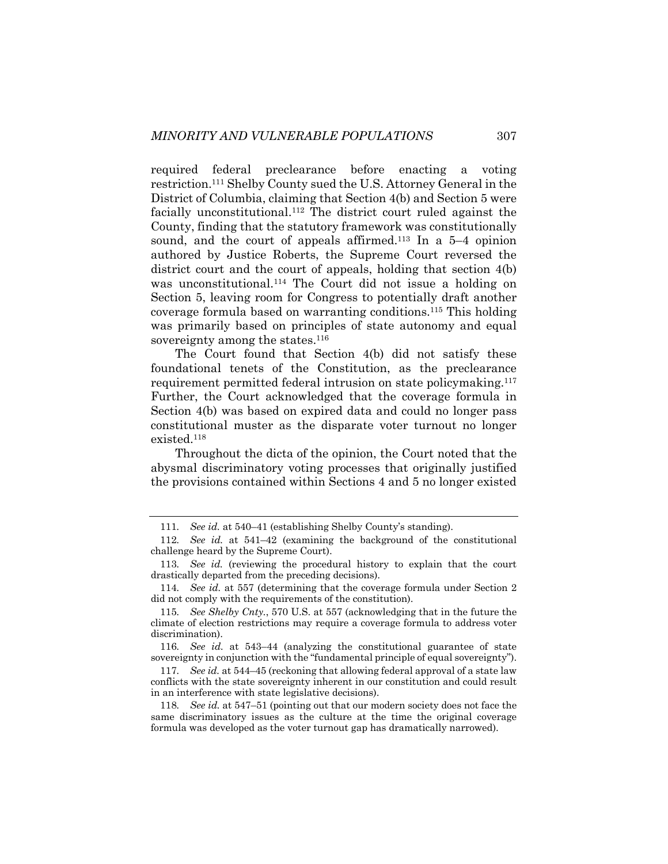required federal preclearance before enacting a voting restriction.111 Shelby County sued the U.S. Attorney General in the District of Columbia, claiming that Section 4(b) and Section 5 were facially unconstitutional.112 The district court ruled against the County, finding that the statutory framework was constitutionally sound, and the court of appeals affirmed.<sup>113</sup> In a 5–4 opinion authored by Justice Roberts, the Supreme Court reversed the district court and the court of appeals, holding that section 4(b) was unconstitutional.<sup>114</sup> The Court did not issue a holding on Section 5, leaving room for Congress to potentially draft another coverage formula based on warranting conditions.115 This holding was primarily based on principles of state autonomy and equal sovereignty among the states.<sup>116</sup>

The Court found that Section 4(b) did not satisfy these foundational tenets of the Constitution, as the preclearance requirement permitted federal intrusion on state policymaking.117 Further, the Court acknowledged that the coverage formula in Section 4(b) was based on expired data and could no longer pass constitutional muster as the disparate voter turnout no longer existed.118

Throughout the dicta of the opinion, the Court noted that the abysmal discriminatory voting processes that originally justified the provisions contained within Sections 4 and 5 no longer existed

<sup>111</sup>*. See id.* at 540–41 (establishing Shelby County's standing).

<sup>112</sup>*. See id.* at 541–42 (examining the background of the constitutional challenge heard by the Supreme Court).

<sup>113</sup>*. See id.* (reviewing the procedural history to explain that the court drastically departed from the preceding decisions).

<sup>114</sup>*. See id.* at 557 (determining that the coverage formula under Section 2 did not comply with the requirements of the constitution).

<sup>115</sup>*. See Shelby Cnty.*, 570 U.S. at 557 (acknowledging that in the future the climate of election restrictions may require a coverage formula to address voter discrimination).

<sup>116</sup>*. See id.* at 543–44 (analyzing the constitutional guarantee of state sovereignty in conjunction with the "fundamental principle of equal sovereignty").

<sup>117</sup>*. See id.* at 544–45 (reckoning that allowing federal approval of a state law conflicts with the state sovereignty inherent in our constitution and could result in an interference with state legislative decisions).

<sup>118</sup>*. See id.* at 547–51 (pointing out that our modern society does not face the same discriminatory issues as the culture at the time the original coverage formula was developed as the voter turnout gap has dramatically narrowed).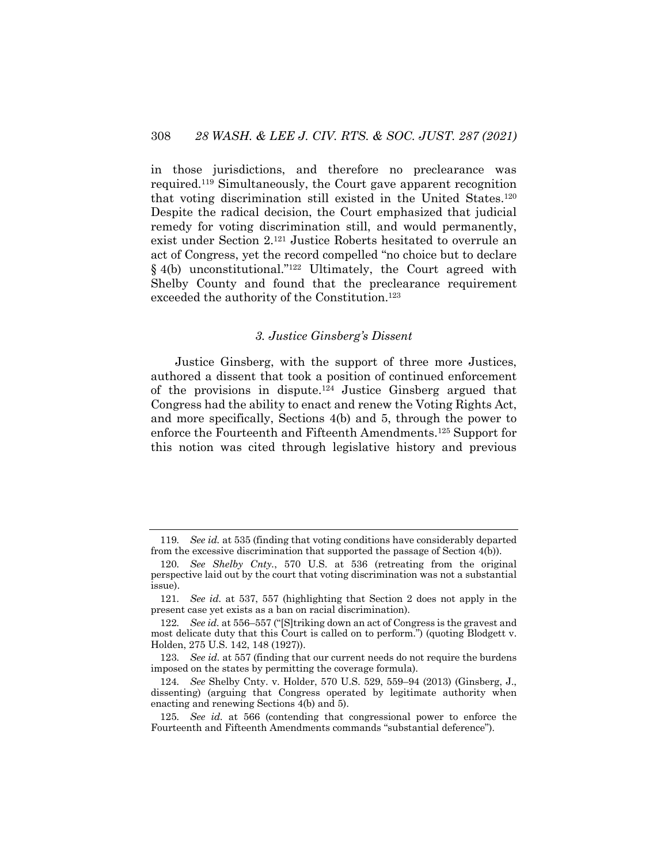in those jurisdictions, and therefore no preclearance was required.119 Simultaneously, the Court gave apparent recognition that voting discrimination still existed in the United States.120 Despite the radical decision, the Court emphasized that judicial remedy for voting discrimination still, and would permanently, exist under Section 2.121 Justice Roberts hesitated to overrule an act of Congress, yet the record compelled "no choice but to declare § 4(b) unconstitutional."<sup>122</sup> Ultimately, the Court agreed with Shelby County and found that the preclearance requirement exceeded the authority of the Constitution.123

## *3. Justice Ginsberg's Dissent*

Justice Ginsberg, with the support of three more Justices, authored a dissent that took a position of continued enforcement of the provisions in dispute.124 Justice Ginsberg argued that Congress had the ability to enact and renew the Voting Rights Act, and more specifically, Sections 4(b) and 5, through the power to enforce the Fourteenth and Fifteenth Amendments.125 Support for this notion was cited through legislative history and previous

<sup>119</sup>*. See id.* at 535 (finding that voting conditions have considerably departed from the excessive discrimination that supported the passage of Section 4(b)).

<sup>120</sup>*. See Shelby Cnty.*, 570 U.S. at 536 (retreating from the original perspective laid out by the court that voting discrimination was not a substantial issue).

<sup>121</sup>*. See id.* at 537, 557 (highlighting that Section 2 does not apply in the present case yet exists as a ban on racial discrimination).

<sup>122</sup>*. See id.* at 556–557 ("[S]triking down an act of Congress is the gravest and most delicate duty that this Court is called on to perform.") (quoting Blodgett v. Holden, 275 U.S. 142, 148 (1927)).

<sup>123</sup>*. See id.* at 557 (finding that our current needs do not require the burdens imposed on the states by permitting the coverage formula).

<sup>124</sup>*. See* Shelby Cnty. v. Holder, 570 U.S. 529, 559–94 (2013) (Ginsberg, J., dissenting) (arguing that Congress operated by legitimate authority when enacting and renewing Sections 4(b) and 5).

<sup>125</sup>*. See id.* at 566 (contending that congressional power to enforce the Fourteenth and Fifteenth Amendments commands "substantial deference").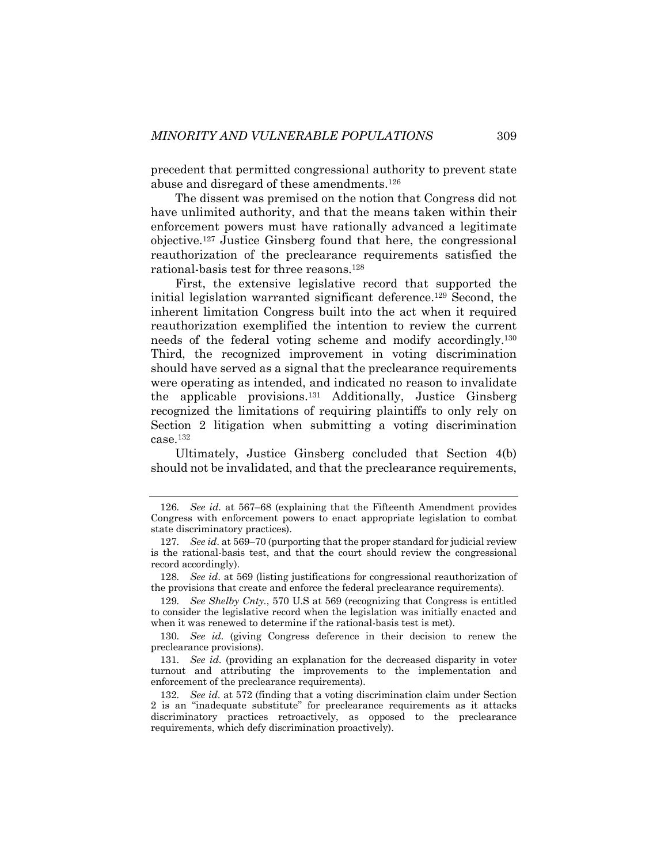precedent that permitted congressional authority to prevent state abuse and disregard of these amendments.126

The dissent was premised on the notion that Congress did not have unlimited authority, and that the means taken within their enforcement powers must have rationally advanced a legitimate objective.127 Justice Ginsberg found that here, the congressional reauthorization of the preclearance requirements satisfied the rational-basis test for three reasons.128

First, the extensive legislative record that supported the initial legislation warranted significant deference.129 Second, the inherent limitation Congress built into the act when it required reauthorization exemplified the intention to review the current needs of the federal voting scheme and modify accordingly.130 Third, the recognized improvement in voting discrimination should have served as a signal that the preclearance requirements were operating as intended, and indicated no reason to invalidate the applicable provisions.131 Additionally, Justice Ginsberg recognized the limitations of requiring plaintiffs to only rely on Section 2 litigation when submitting a voting discrimination case.132

Ultimately, Justice Ginsberg concluded that Section 4(b) should not be invalidated, and that the preclearance requirements,

<sup>126</sup>*. See id.* at 567–68 (explaining that the Fifteenth Amendment provides Congress with enforcement powers to enact appropriate legislation to combat state discriminatory practices).

<sup>127</sup>*. See id*. at 569–70 (purporting that the proper standard for judicial review is the rational-basis test, and that the court should review the congressional record accordingly).

<sup>128</sup>*. See id*. at 569 (listing justifications for congressional reauthorization of the provisions that create and enforce the federal preclearance requirements).

<sup>129</sup>*. See Shelby Cnty.*, 570 U.S at 569 (recognizing that Congress is entitled to consider the legislative record when the legislation was initially enacted and when it was renewed to determine if the rational-basis test is met).

<sup>130</sup>*. See id*. (giving Congress deference in their decision to renew the preclearance provisions).

<sup>131</sup>*. See id*. (providing an explanation for the decreased disparity in voter turnout and attributing the improvements to the implementation and enforcement of the preclearance requirements).

<sup>132</sup>*. See id*. at 572 (finding that a voting discrimination claim under Section 2 is an "inadequate substitute" for preclearance requirements as it attacks discriminatory practices retroactively, as opposed to the preclearance requirements, which defy discrimination proactively).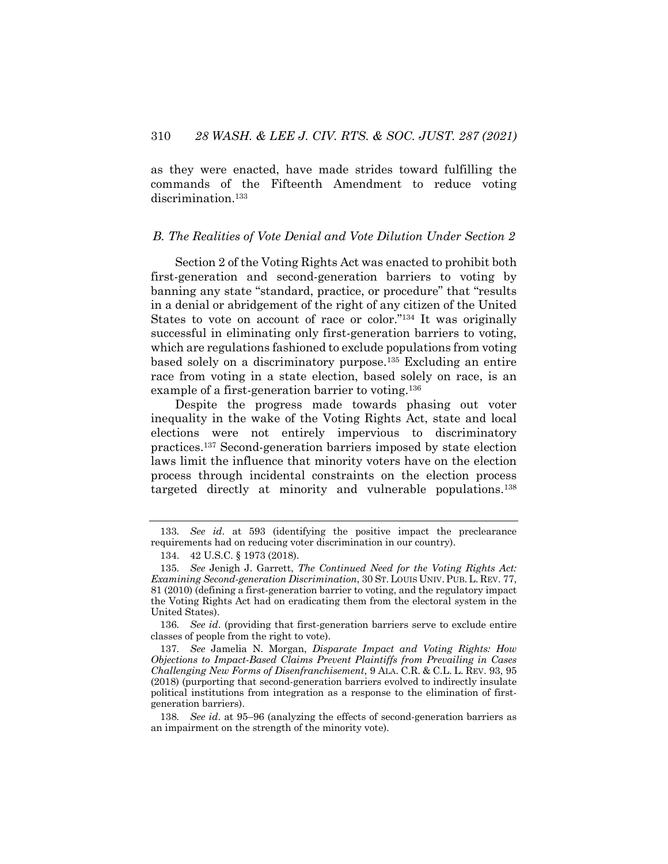as they were enacted, have made strides toward fulfilling the commands of the Fifteenth Amendment to reduce voting discrimination.133

## *B. The Realities of Vote Denial and Vote Dilution Under Section 2*

Section 2 of the Voting Rights Act was enacted to prohibit both first-generation and second-generation barriers to voting by banning any state "standard, practice, or procedure" that "results in a denial or abridgement of the right of any citizen of the United States to vote on account of race or color."134 It was originally successful in eliminating only first-generation barriers to voting, which are regulations fashioned to exclude populations from voting based solely on a discriminatory purpose.135 Excluding an entire race from voting in a state election, based solely on race, is an example of a first-generation barrier to voting.136

Despite the progress made towards phasing out voter inequality in the wake of the Voting Rights Act, state and local elections were not entirely impervious to discriminatory practices.137 Second-generation barriers imposed by state election laws limit the influence that minority voters have on the election process through incidental constraints on the election process targeted directly at minority and vulnerable populations.138

136*. See id*. (providing that first-generation barriers serve to exclude entire classes of people from the right to vote).

137*. See* Jamelia N. Morgan, *Disparate Impact and Voting Rights: How Objections to Impact-Based Claims Prevent Plaintiffs from Prevailing in Cases Challenging New Forms of Disenfranchisement*, 9 ALA. C.R. & C.L. L. REV. 93, 95 (2018) (purporting that second-generation barriers evolved to indirectly insulate political institutions from integration as a response to the elimination of firstgeneration barriers).

138*. See id*. at 95–96 (analyzing the effects of second-generation barriers as an impairment on the strength of the minority vote).

<sup>133</sup>*. See id*. at 593 (identifying the positive impact the preclearance requirements had on reducing voter discrimination in our country).

<sup>134.</sup> 42 U.S.C. § 1973 (2018).

<sup>135</sup>*. See* Jenigh J. Garrett, *The Continued Need for the Voting Rights Act: Examining Second-generation Discrimination*, 30 ST. LOUIS UNIV. PUB. L. REV. 77, 81 (2010) (defining a first-generation barrier to voting, and the regulatory impact the Voting Rights Act had on eradicating them from the electoral system in the United States).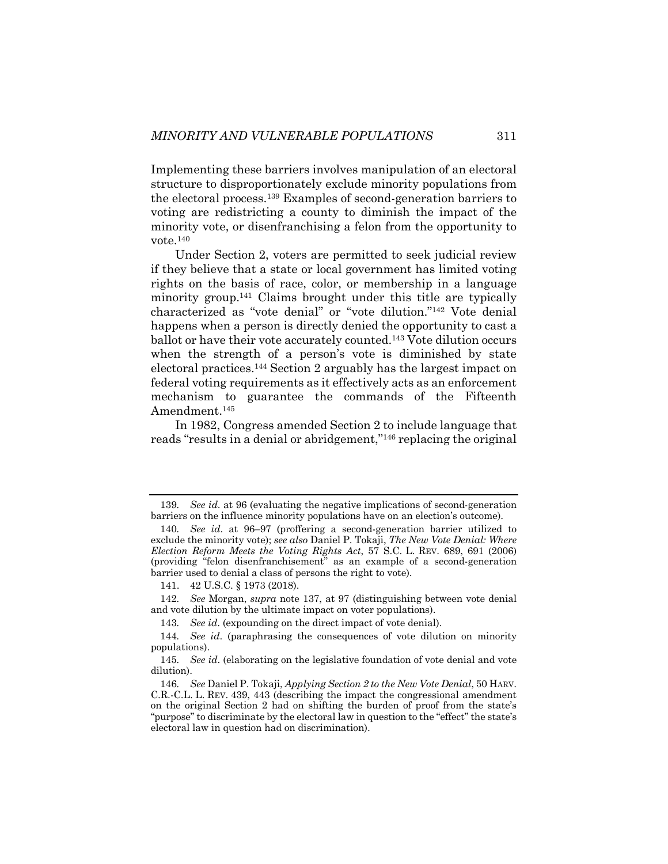Implementing these barriers involves manipulation of an electoral structure to disproportionately exclude minority populations from the electoral process.139 Examples of second-generation barriers to voting are redistricting a county to diminish the impact of the minority vote, or disenfranchising a felon from the opportunity to vote.140

Under Section 2, voters are permitted to seek judicial review if they believe that a state or local government has limited voting rights on the basis of race, color, or membership in a language minority group.141 Claims brought under this title are typically characterized as "vote denial" or "vote dilution."142 Vote denial happens when a person is directly denied the opportunity to cast a ballot or have their vote accurately counted.143 Vote dilution occurs when the strength of a person's vote is diminished by state electoral practices.144 Section 2 arguably has the largest impact on federal voting requirements as it effectively acts as an enforcement mechanism to guarantee the commands of the Fifteenth Amendment.<sup>145</sup>

In 1982, Congress amended Section 2 to include language that reads "results in a denial or abridgement,"146 replacing the original

141. 42 U.S.C. § 1973 (2018).

142*. See* Morgan, *supra* note 137, at 97 (distinguishing between vote denial and vote dilution by the ultimate impact on voter populations).

143*. See id*. (expounding on the direct impact of vote denial).

<sup>139</sup>*. See id*. at 96 (evaluating the negative implications of second-generation barriers on the influence minority populations have on an election's outcome).

<sup>140</sup>*. See id*. at 96–97 (proffering a second-generation barrier utilized to exclude the minority vote); *see also* Daniel P. Tokaji, *The New Vote Denial: Where Election Reform Meets the Voting Rights Act*, 57 S.C. L. REV. 689, 691 (2006) (providing "felon disenfranchisement" as an example of a second-generation barrier used to denial a class of persons the right to vote).

<sup>144</sup>*. See id*. (paraphrasing the consequences of vote dilution on minority populations).

<sup>145</sup>*. See id*. (elaborating on the legislative foundation of vote denial and vote dilution).

<sup>146</sup>*. See* Daniel P. Tokaji, *Applying Section 2 to the New Vote Denial*, 50 HARV. C.R.-C.L. L. REV. 439, 443 (describing the impact the congressional amendment on the original Section 2 had on shifting the burden of proof from the state's "purpose" to discriminate by the electoral law in question to the "effect" the state's electoral law in question had on discrimination).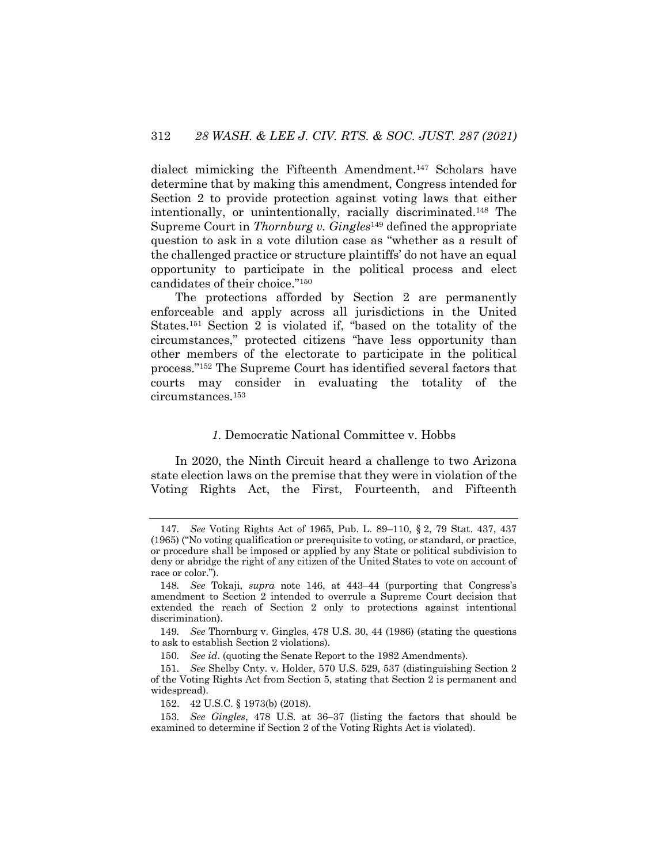dialect mimicking the Fifteenth Amendment.147 Scholars have determine that by making this amendment, Congress intended for Section 2 to provide protection against voting laws that either intentionally, or unintentionally, racially discriminated.148 The Supreme Court in *Thornburg v. Gingles*<sup>149</sup> defined the appropriate question to ask in a vote dilution case as "whether as a result of the challenged practice or structure plaintiffs' do not have an equal opportunity to participate in the political process and elect candidates of their choice."150

The protections afforded by Section 2 are permanently enforceable and apply across all jurisdictions in the United States.151 Section 2 is violated if, "based on the totality of the circumstances," protected citizens "have less opportunity than other members of the electorate to participate in the political process."152 The Supreme Court has identified several factors that courts may consider in evaluating the totality of the circumstances.153

## *1.* Democratic National Committee v. Hobbs

In 2020, the Ninth Circuit heard a challenge to two Arizona state election laws on the premise that they were in violation of the Voting Rights Act, the First, Fourteenth, and Fifteenth

152. 42 U.S.C. § 1973(b) (2018).

<sup>147</sup>*. See* Voting Rights Act of 1965, Pub. L. 89–110, § 2, 79 Stat. 437, 437 (1965) ("No voting qualification or prerequisite to voting, or standard, or practice, or procedure shall be imposed or applied by any State or political subdivision to deny or abridge the right of any citizen of the United States to vote on account of race or color.").

<sup>148</sup>*. See* Tokaji, *supra* note 146, at 443–44 (purporting that Congress's amendment to Section 2 intended to overrule a Supreme Court decision that extended the reach of Section 2 only to protections against intentional discrimination).

<sup>149</sup>*. See* Thornburg v. Gingles, 478 U.S. 30, 44 (1986) (stating the questions to ask to establish Section 2 violations).

<sup>150</sup>*. See id*. (quoting the Senate Report to the 1982 Amendments).

<sup>151</sup>*. See* Shelby Cnty. v. Holder, 570 U.S. 529, 537 (distinguishing Section 2 of the Voting Rights Act from Section 5, stating that Section 2 is permanent and widespread).

<sup>153</sup>*. See Gingles*, 478 U.S. at 36–37 (listing the factors that should be examined to determine if Section 2 of the Voting Rights Act is violated).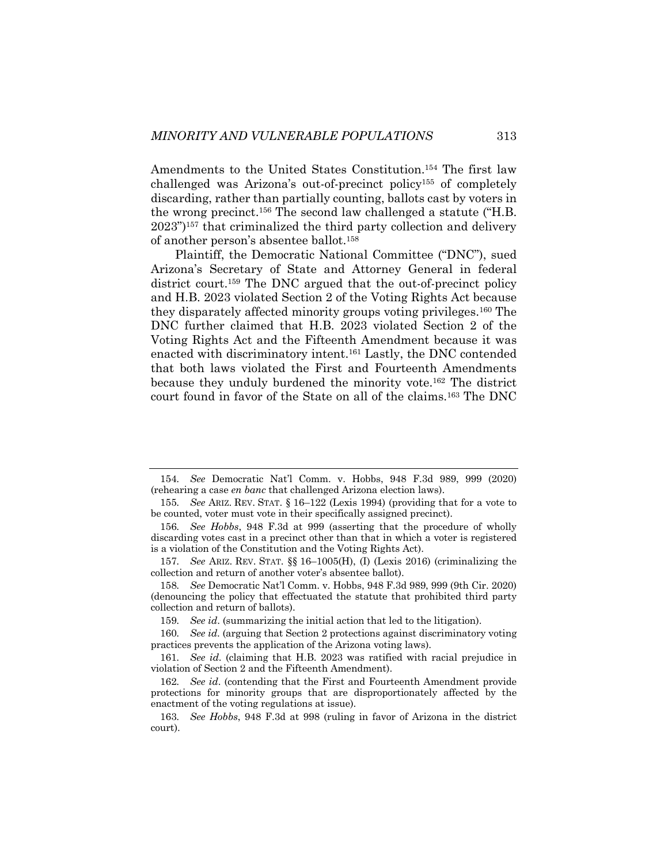Amendments to the United States Constitution.<sup>154</sup> The first law challenged was Arizona's out-of-precinct policy155 of completely discarding, rather than partially counting, ballots cast by voters in the wrong precinct.156 The second law challenged a statute ("H.B. 2023")157 that criminalized the third party collection and delivery of another person's absentee ballot.158

Plaintiff, the Democratic National Committee ("DNC"), sued Arizona's Secretary of State and Attorney General in federal district court.<sup>159</sup> The DNC argued that the out-of-precinct policy and H.B. 2023 violated Section 2 of the Voting Rights Act because they disparately affected minority groups voting privileges.160 The DNC further claimed that H.B. 2023 violated Section 2 of the Voting Rights Act and the Fifteenth Amendment because it was enacted with discriminatory intent.161 Lastly, the DNC contended that both laws violated the First and Fourteenth Amendments because they unduly burdened the minority vote.162 The district court found in favor of the State on all of the claims.163 The DNC

<sup>154</sup>*. See* Democratic Nat'l Comm. v. Hobbs, 948 F.3d 989, 999 (2020) (rehearing a case *en banc* that challenged Arizona election laws).

<sup>155</sup>*. See* ARIZ. REV. STAT. § 16–122 (Lexis 1994) (providing that for a vote to be counted, voter must vote in their specifically assigned precinct).

<sup>156</sup>*. See Hobbs*, 948 F.3d at 999 (asserting that the procedure of wholly discarding votes cast in a precinct other than that in which a voter is registered is a violation of the Constitution and the Voting Rights Act).

<sup>157</sup>*. See* ARIZ. REV. STAT. §§ 16–1005(H), (I) (Lexis 2016) (criminalizing the collection and return of another voter's absentee ballot).

<sup>158</sup>*. See* Democratic Nat'l Comm. v. Hobbs, 948 F.3d 989, 999 (9th Cir. 2020) (denouncing the policy that effectuated the statute that prohibited third party collection and return of ballots).

<sup>159</sup>*. See id*. (summarizing the initial action that led to the litigation).

<sup>160</sup>*. See id*. (arguing that Section 2 protections against discriminatory voting practices prevents the application of the Arizona voting laws).

<sup>161</sup>*. See id*. (claiming that H.B. 2023 was ratified with racial prejudice in violation of Section 2 and the Fifteenth Amendment).

<sup>162</sup>*. See id*. (contending that the First and Fourteenth Amendment provide protections for minority groups that are disproportionately affected by the enactment of the voting regulations at issue).

<sup>163</sup>*. See Hobbs*, 948 F.3d at 998 (ruling in favor of Arizona in the district court).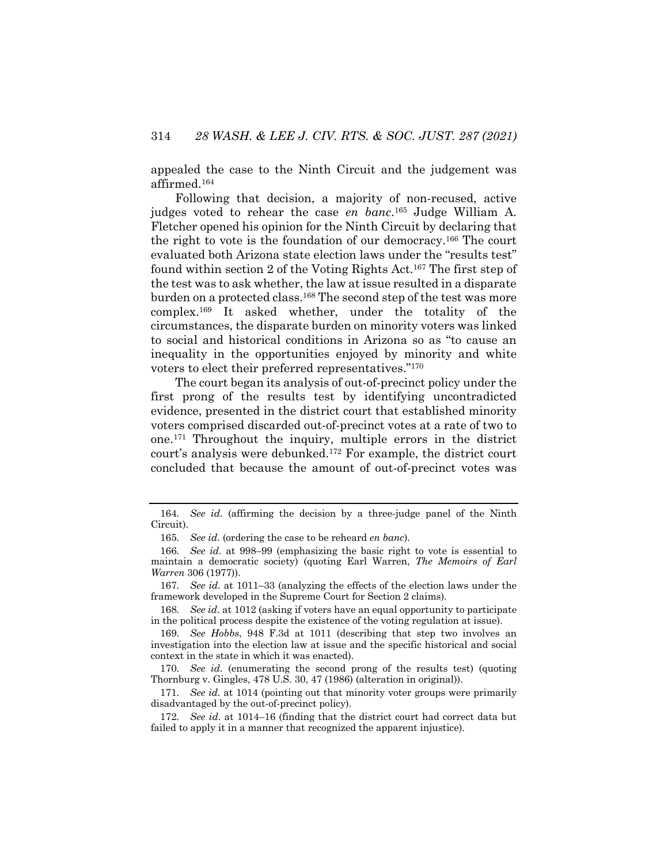appealed the case to the Ninth Circuit and the judgement was affirmed.164

Following that decision, a majority of non-recused, active judges voted to rehear the case *en banc*. <sup>165</sup> Judge William A. Fletcher opened his opinion for the Ninth Circuit by declaring that the right to vote is the foundation of our democracy.166 The court evaluated both Arizona state election laws under the "results test" found within section 2 of the Voting Rights Act.167 The first step of the test was to ask whether, the law at issue resulted in a disparate burden on a protected class.168 The second step of the test was more complex.169 It asked whether, under the totality of the circumstances, the disparate burden on minority voters was linked to social and historical conditions in Arizona so as "to cause an inequality in the opportunities enjoyed by minority and white voters to elect their preferred representatives."170

The court began its analysis of out-of-precinct policy under the first prong of the results test by identifying uncontradicted evidence, presented in the district court that established minority voters comprised discarded out-of-precinct votes at a rate of two to one.171 Throughout the inquiry, multiple errors in the district court's analysis were debunked.172 For example, the district court concluded that because the amount of out-of-precinct votes was

<sup>164</sup>*. See id*. (affirming the decision by a three-judge panel of the Ninth Circuit).

<sup>165</sup>*. See id*. (ordering the case to be reheard *en banc*).

<sup>166</sup>*. See id*. at 998–99 (emphasizing the basic right to vote is essential to maintain a democratic society) (quoting Earl Warren, *The Memoirs of Earl Warren* 306 (1977)).

<sup>167</sup>*. See id.* at 1011–33 (analyzing the effects of the election laws under the framework developed in the Supreme Court for Section 2 claims).

<sup>168</sup>*. See id*. at 1012 (asking if voters have an equal opportunity to participate in the political process despite the existence of the voting regulation at issue).

<sup>169</sup>*. See Hobbs*, 948 F.3d at 1011 (describing that step two involves an investigation into the election law at issue and the specific historical and social context in the state in which it was enacted).

<sup>170</sup>*. See id*. (enumerating the second prong of the results test) (quoting Thornburg v. Gingles, 478 U.S. 30, 47 (1986) (alteration in original)).

<sup>171</sup>*. See id.* at 1014 (pointing out that minority voter groups were primarily disadvantaged by the out-of-precinct policy).

<sup>172</sup>*. See id*. at 1014–16 (finding that the district court had correct data but failed to apply it in a manner that recognized the apparent injustice).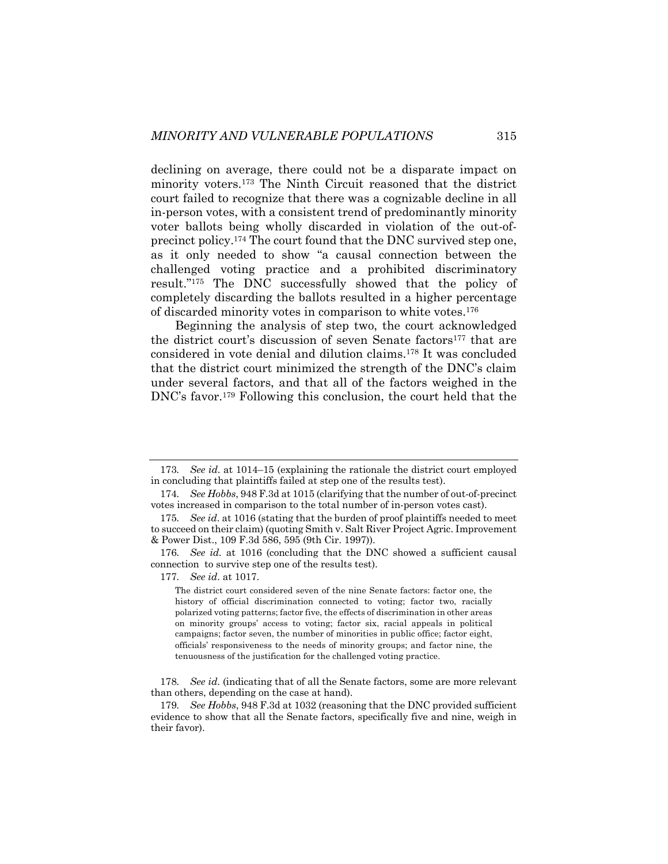declining on average, there could not be a disparate impact on minority voters.173 The Ninth Circuit reasoned that the district court failed to recognize that there was a cognizable decline in all in-person votes, with a consistent trend of predominantly minority voter ballots being wholly discarded in violation of the out-ofprecinct policy.174 The court found that the DNC survived step one, as it only needed to show "a causal connection between the challenged voting practice and a prohibited discriminatory result."175 The DNC successfully showed that the policy of completely discarding the ballots resulted in a higher percentage of discarded minority votes in comparison to white votes.176

Beginning the analysis of step two, the court acknowledged the district court's discussion of seven Senate factors<sup>177</sup> that are considered in vote denial and dilution claims.178 It was concluded that the district court minimized the strength of the DNC's claim under several factors, and that all of the factors weighed in the DNC's favor.179 Following this conclusion, the court held that the

176*. See id.* at 1016 (concluding that the DNC showed a sufficient causal connection to survive step one of the results test).

177*. See id*. at 1017.

<sup>173</sup>*. See id*. at 1014–15 (explaining the rationale the district court employed in concluding that plaintiffs failed at step one of the results test).

<sup>174</sup>*. See Hobbs*, 948 F.3d at 1015 (clarifying that the number of out-of-precinct votes increased in comparison to the total number of in-person votes cast).

<sup>175</sup>*. See id*. at 1016 (stating that the burden of proof plaintiffs needed to meet to succeed on their claim) (quoting Smith v. Salt River Project Agric. Improvement & Power Dist., 109 F.3d 586, 595 (9th Cir. 1997)).

The district court considered seven of the nine Senate factors: factor one, the history of official discrimination connected to voting; factor two, racially polarized voting patterns; factor five, the effects of discrimination in other areas on minority groups' access to voting; factor six, racial appeals in political campaigns; factor seven, the number of minorities in public office; factor eight, officials' responsiveness to the needs of minority groups; and factor nine, the tenuousness of the justification for the challenged voting practice.

<sup>178</sup>*. See id*. (indicating that of all the Senate factors, some are more relevant than others, depending on the case at hand).

<sup>179</sup>*. See Hobbs*, 948 F.3d at 1032 (reasoning that the DNC provided sufficient evidence to show that all the Senate factors, specifically five and nine, weigh in their favor).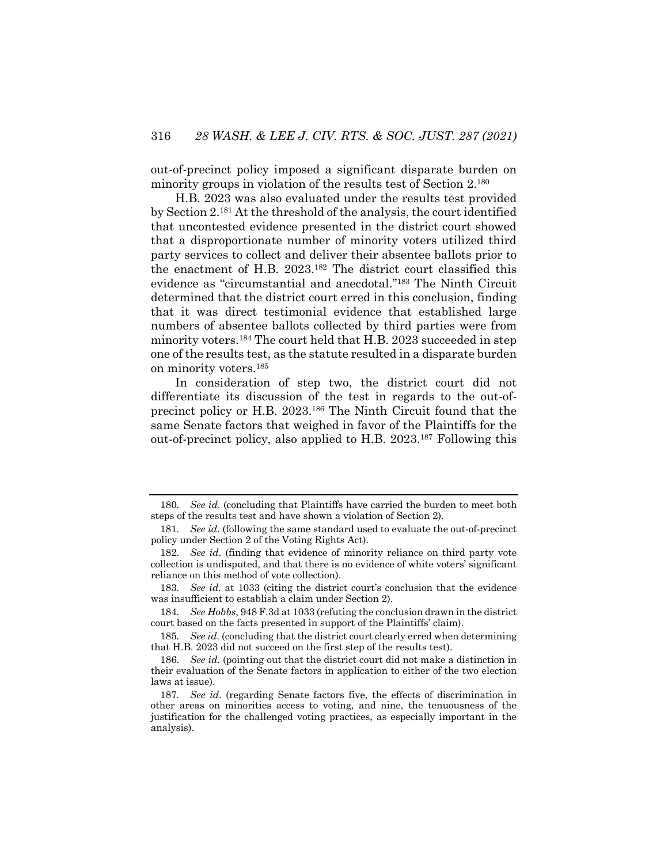out-of-precinct policy imposed a significant disparate burden on minority groups in violation of the results test of Section 2.180

H.B. 2023 was also evaluated under the results test provided by Section 2.181 At the threshold of the analysis, the court identified that uncontested evidence presented in the district court showed that a disproportionate number of minority voters utilized third party services to collect and deliver their absentee ballots prior to the enactment of H.B. 2023.182 The district court classified this evidence as "circumstantial and anecdotal."183 The Ninth Circuit determined that the district court erred in this conclusion, finding that it was direct testimonial evidence that established large numbers of absentee ballots collected by third parties were from minority voters.184 The court held that H.B. 2023 succeeded in step one of the results test, as the statute resulted in a disparate burden on minority voters.185

In consideration of step two, the district court did not differentiate its discussion of the test in regards to the out-ofprecinct policy or H.B. 2023.186 The Ninth Circuit found that the same Senate factors that weighed in favor of the Plaintiffs for the out-of-precinct policy, also applied to H.B. 2023.187 Following this

183*. See id*. at 1033 (citing the district court's conclusion that the evidence was insufficient to establish a claim under Section 2).

<sup>180</sup>*. See id*. (concluding that Plaintiffs have carried the burden to meet both steps of the results test and have shown a violation of Section 2).

<sup>181</sup>*. See id*. (following the same standard used to evaluate the out-of-precinct policy under Section 2 of the Voting Rights Act).

<sup>182</sup>*. See id*. (finding that evidence of minority reliance on third party vote collection is undisputed, and that there is no evidence of white voters' significant reliance on this method of vote collection).

<sup>184</sup>*. See Hobbs*, 948 F.3d at 1033 (refuting the conclusion drawn in the district court based on the facts presented in support of the Plaintiffs' claim).

<sup>185</sup>*. See id*. (concluding that the district court clearly erred when determining that H.B. 2023 did not succeed on the first step of the results test).

<sup>186</sup>*. See id*. (pointing out that the district court did not make a distinction in their evaluation of the Senate factors in application to either of the two election laws at issue).

<sup>187</sup>*. See id*. (regarding Senate factors five, the effects of discrimination in other areas on minorities access to voting, and nine, the tenuousness of the justification for the challenged voting practices, as especially important in the analysis).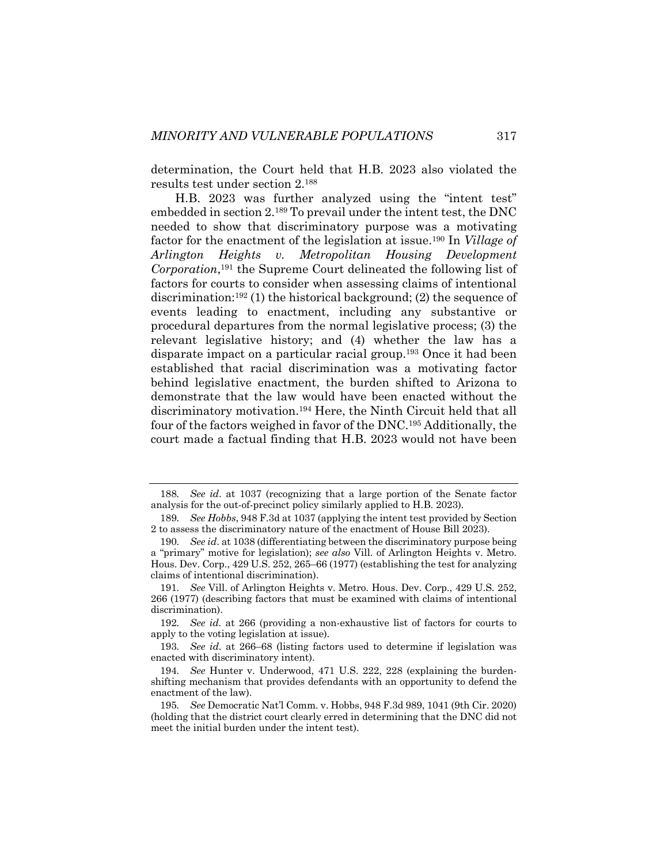determination, the Court held that H.B. 2023 also violated the results test under section 2.188

H.B. 2023 was further analyzed using the "intent test" embedded in section 2.189 To prevail under the intent test, the DNC needed to show that discriminatory purpose was a motivating factor for the enactment of the legislation at issue.190 In *Village of Arlington Heights v. Metropolitan Housing Development Corporation*, <sup>191</sup> the Supreme Court delineated the following list of factors for courts to consider when assessing claims of intentional discrimination:192 (1) the historical background; (2) the sequence of events leading to enactment, including any substantive or procedural departures from the normal legislative process; (3) the relevant legislative history; and (4) whether the law has a disparate impact on a particular racial group.193 Once it had been established that racial discrimination was a motivating factor behind legislative enactment, the burden shifted to Arizona to demonstrate that the law would have been enacted without the discriminatory motivation.194 Here, the Ninth Circuit held that all four of the factors weighed in favor of the DNC.195 Additionally, the court made a factual finding that H.B. 2023 would not have been

<sup>188</sup>*. See id*. at 1037 (recognizing that a large portion of the Senate factor analysis for the out-of-precinct policy similarly applied to H.B. 2023).

<sup>189</sup>*. See Hobbs*, 948 F.3d at 1037 (applying the intent test provided by Section 2 to assess the discriminatory nature of the enactment of House Bill 2023).

<sup>190</sup>*. See id*. at 1038 (differentiating between the discriminatory purpose being a "primary" motive for legislation); *see also* Vill. of Arlington Heights v. Metro. Hous. Dev. Corp., 429 U.S. 252, 265–66 (1977) (establishing the test for analyzing claims of intentional discrimination).

<sup>191</sup>*. See* Vill. of Arlington Heights v. Metro. Hous. Dev. Corp., 429 U.S. 252, 266 (1977) (describing factors that must be examined with claims of intentional discrimination).

<sup>192</sup>*. See id.* at 266 (providing a non-exhaustive list of factors for courts to apply to the voting legislation at issue).

<sup>193</sup>*. See id.* at 266–68 (listing factors used to determine if legislation was enacted with discriminatory intent).

<sup>194</sup>*. See* Hunter v. Underwood, 471 U.S. 222, 228 (explaining the burdenshifting mechanism that provides defendants with an opportunity to defend the enactment of the law).

<sup>195</sup>*. See* Democratic Nat'l Comm. v. Hobbs, 948 F.3d 989, 1041 (9th Cir. 2020) (holding that the district court clearly erred in determining that the DNC did not meet the initial burden under the intent test).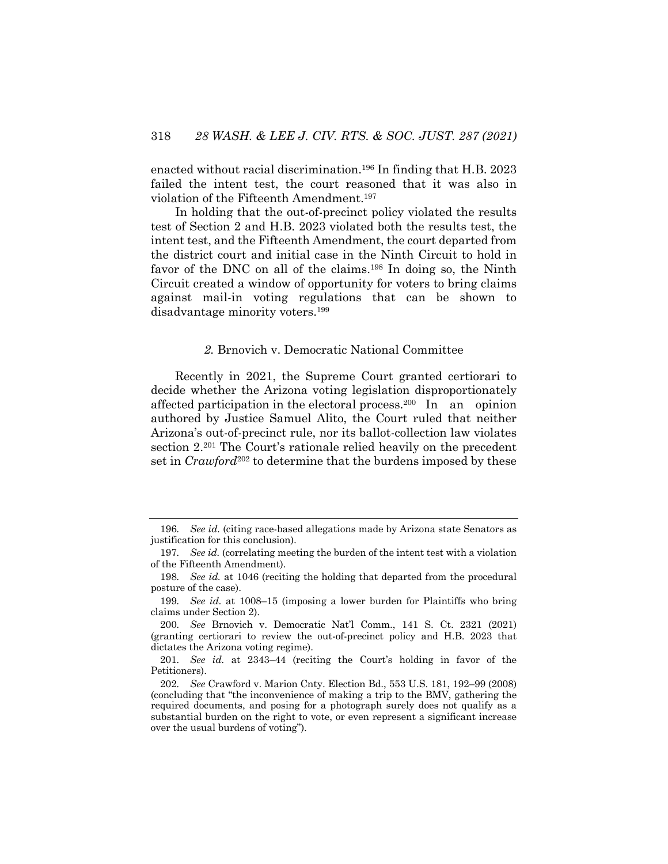enacted without racial discrimination.196 In finding that H.B. 2023 failed the intent test, the court reasoned that it was also in violation of the Fifteenth Amendment.197

In holding that the out-of-precinct policy violated the results test of Section 2 and H.B. 2023 violated both the results test, the intent test, and the Fifteenth Amendment, the court departed from the district court and initial case in the Ninth Circuit to hold in favor of the DNC on all of the claims.<sup>198</sup> In doing so, the Ninth Circuit created a window of opportunity for voters to bring claims against mail-in voting regulations that can be shown to disadvantage minority voters.199

#### *2.* Brnovich v. Democratic National Committee

Recently in 2021, the Supreme Court granted certiorari to decide whether the Arizona voting legislation disproportionately affected participation in the electoral process.200 In an opinion authored by Justice Samuel Alito, the Court ruled that neither Arizona's out-of-precinct rule, nor its ballot-collection law violates section 2.<sup>201</sup> The Court's rationale relied heavily on the precedent set in *Crawford*<sup>202</sup> to determine that the burdens imposed by these

<sup>196</sup>*. See id.* (citing race-based allegations made by Arizona state Senators as justification for this conclusion).

<sup>197</sup>*. See id.* (correlating meeting the burden of the intent test with a violation of the Fifteenth Amendment).

<sup>198</sup>*. See id.* at 1046 (reciting the holding that departed from the procedural posture of the case).

<sup>199</sup>*. See id.* at 1008–15 (imposing a lower burden for Plaintiffs who bring claims under Section 2).

<sup>200</sup>*. See* Brnovich v. Democratic Nat'l Comm., 141 S. Ct. 2321 (2021) (granting certiorari to review the out-of-precinct policy and H.B. 2023 that dictates the Arizona voting regime).

<sup>201</sup>*. See id.* at 2343–44 (reciting the Court's holding in favor of the Petitioners).

<sup>202</sup>*. See* Crawford v. Marion Cnty. Election Bd., 553 U.S. 181, 192–99 (2008) (concluding that "the inconvenience of making a trip to the BMV, gathering the required documents, and posing for a photograph surely does not qualify as a substantial burden on the right to vote, or even represent a significant increase over the usual burdens of voting").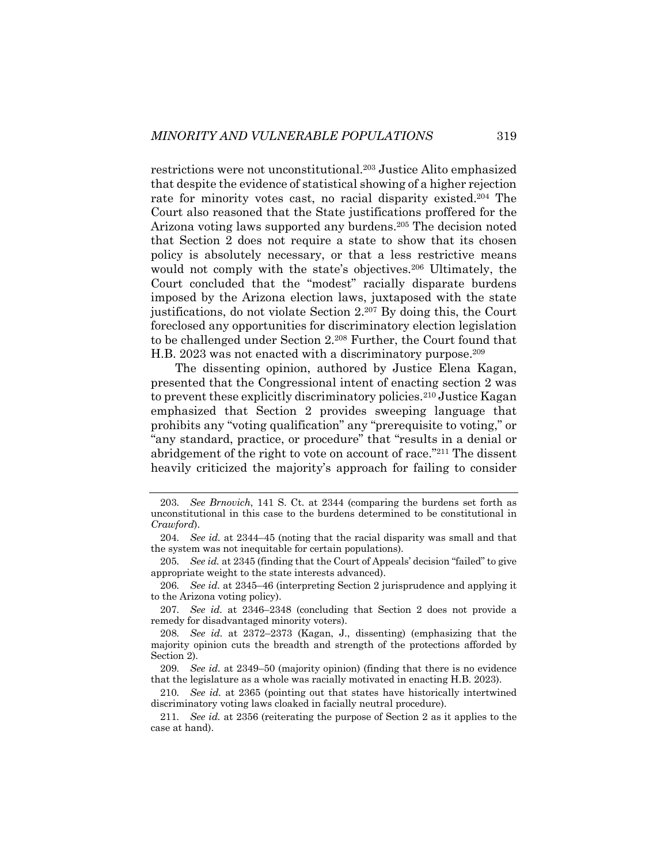restrictions were not unconstitutional.203 Justice Alito emphasized that despite the evidence of statistical showing of a higher rejection rate for minority votes cast, no racial disparity existed. <sup>204</sup> The Court also reasoned that the State justifications proffered for the Arizona voting laws supported any burdens.205 The decision noted that Section 2 does not require a state to show that its chosen policy is absolutely necessary, or that a less restrictive means would not comply with the state's objectives.<sup>206</sup> Ultimately, the Court concluded that the "modest" racially disparate burdens imposed by the Arizona election laws, juxtaposed with the state justifications, do not violate Section 2.207 By doing this, the Court foreclosed any opportunities for discriminatory election legislation to be challenged under Section 2.208 Further, the Court found that H.B. 2023 was not enacted with a discriminatory purpose.<sup>209</sup>

The dissenting opinion, authored by Justice Elena Kagan, presented that the Congressional intent of enacting section 2 was to prevent these explicitly discriminatory policies.210 Justice Kagan emphasized that Section 2 provides sweeping language that prohibits any "voting qualification" any "prerequisite to voting," or "any standard, practice, or procedure" that "results in a denial or abridgement of the right to vote on account of race."<sup>211</sup> The dissent heavily criticized the majority's approach for failing to consider

206*. See id.* at 2345–46 (interpreting Section 2 jurisprudence and applying it to the Arizona voting policy).

<sup>203</sup>*. See Brnovich*, 141 S. Ct. at 2344 (comparing the burdens set forth as unconstitutional in this case to the burdens determined to be constitutional in *Crawford*).

<sup>204</sup>*. See id.* at 2344–45 (noting that the racial disparity was small and that the system was not inequitable for certain populations).

<sup>205</sup>*. See id.* at 2345 (finding that the Court of Appeals' decision "failed" to give appropriate weight to the state interests advanced).

<sup>207</sup>*. See id.* at 2346–2348 (concluding that Section 2 does not provide a remedy for disadvantaged minority voters).

<sup>208</sup>*. See id.* at 2372–2373 (Kagan, J., dissenting) (emphasizing that the majority opinion cuts the breadth and strength of the protections afforded by Section 2).

<sup>209</sup>*. See id.* at 2349–50 (majority opinion) (finding that there is no evidence that the legislature as a whole was racially motivated in enacting H.B. 2023).

<sup>210</sup>*. See id.* at 2365 (pointing out that states have historically intertwined discriminatory voting laws cloaked in facially neutral procedure).

<sup>211</sup>*. See id.* at 2356 (reiterating the purpose of Section 2 as it applies to the case at hand).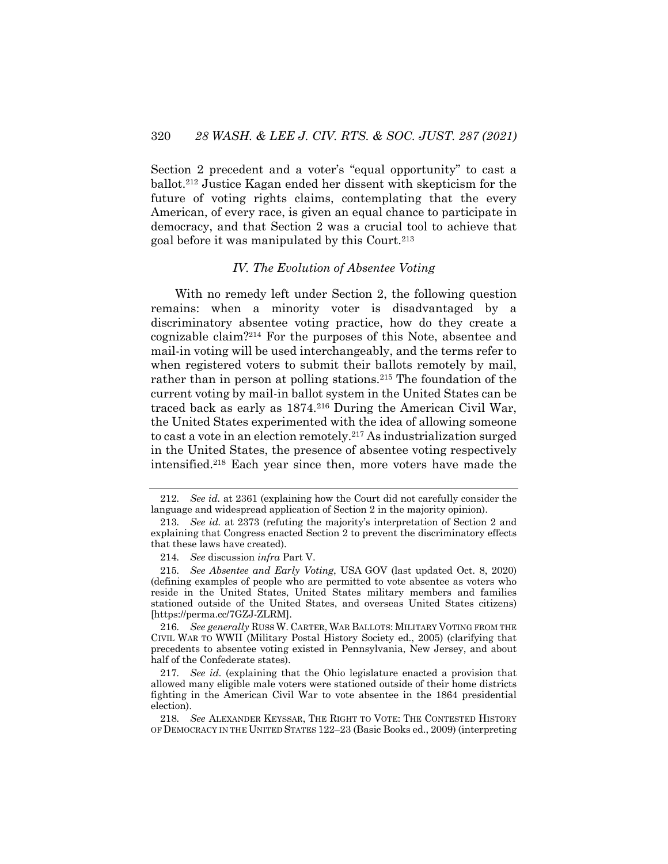Section 2 precedent and a voter's "equal opportunity" to cast a ballot.212 Justice Kagan ended her dissent with skepticism for the future of voting rights claims, contemplating that the every American, of every race, is given an equal chance to participate in democracy, and that Section 2 was a crucial tool to achieve that goal before it was manipulated by this Court.213

## *IV. The Evolution of Absentee Voting*

With no remedy left under Section 2, the following question remains: when a minority voter is disadvantaged by a discriminatory absentee voting practice, how do they create a cognizable claim?214 For the purposes of this Note, absentee and mail-in voting will be used interchangeably, and the terms refer to when registered voters to submit their ballots remotely by mail, rather than in person at polling stations.<sup>215</sup> The foundation of the current voting by mail-in ballot system in the United States can be traced back as early as 1874.216 During the American Civil War, the United States experimented with the idea of allowing someone to cast a vote in an election remotely.217 As industrialization surged in the United States, the presence of absentee voting respectively intensified.218 Each year since then, more voters have made the

<sup>212</sup>*. See id.* at 2361 (explaining how the Court did not carefully consider the language and widespread application of Section 2 in the majority opinion).

<sup>213</sup>*. See id.* at 2373 (refuting the majority's interpretation of Section 2 and explaining that Congress enacted Section 2 to prevent the discriminatory effects that these laws have created).

<sup>214</sup>*. See* discussion *infra* Part V.

<sup>215</sup>*. See Absentee and Early Voting*, USA GOV (last updated Oct. 8, 2020) (defining examples of people who are permitted to vote absentee as voters who reside in the United States, United States military members and families stationed outside of the United States, and overseas United States citizens) [https://perma.cc/7GZJ-ZLRM].

<sup>216</sup>*. See generally* RUSS W. CARTER, WAR BALLOTS: MILITARY VOTING FROM THE CIVIL WAR TO WWII (Military Postal History Society ed., 2005) (clarifying that precedents to absentee voting existed in Pennsylvania, New Jersey, and about half of the Confederate states).

<sup>217</sup>*. See id.* (explaining that the Ohio legislature enacted a provision that allowed many eligible male voters were stationed outside of their home districts fighting in the American Civil War to vote absentee in the 1864 presidential election).

<sup>218</sup>*. See* ALEXANDER KEYSSAR, THE RIGHT TO VOTE: THE CONTESTED HISTORY OF DEMOCRACY IN THE UNITED STATES 122–23 (Basic Books ed., 2009) (interpreting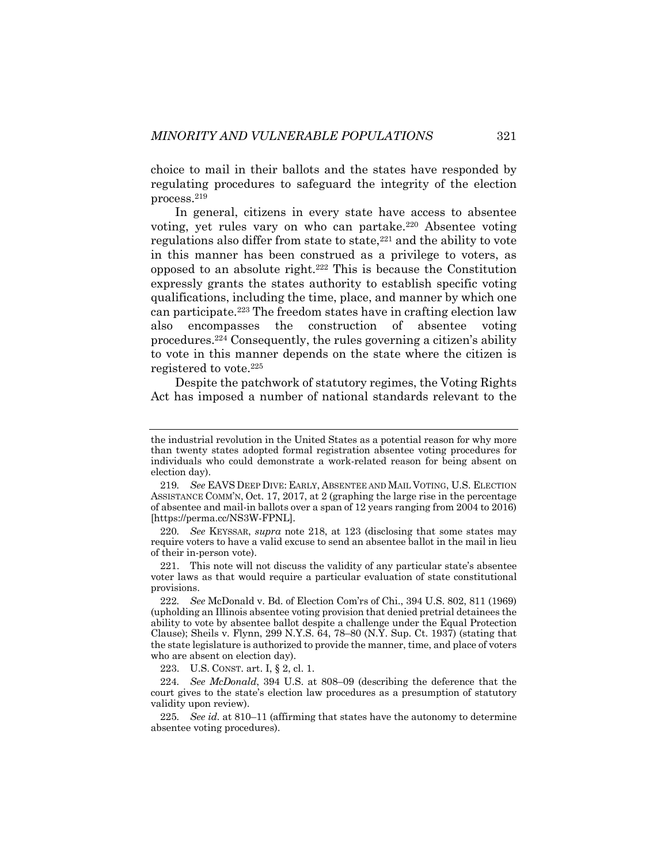choice to mail in their ballots and the states have responded by regulating procedures to safeguard the integrity of the election process.219

In general, citizens in every state have access to absentee voting, yet rules vary on who can partake.220 Absentee voting regulations also differ from state to state,<sup>221</sup> and the ability to vote in this manner has been construed as a privilege to voters, as opposed to an absolute right.222 This is because the Constitution expressly grants the states authority to establish specific voting qualifications, including the time, place, and manner by which one can participate.223 The freedom states have in crafting election law also encompasses the construction of absentee voting procedures.224 Consequently, the rules governing a citizen's ability to vote in this manner depends on the state where the citizen is registered to vote.225

Despite the patchwork of statutory regimes, the Voting Rights Act has imposed a number of national standards relevant to the

223. U.S. CONST. art. I, § 2, cl. 1.

the industrial revolution in the United States as a potential reason for why more than twenty states adopted formal registration absentee voting procedures for individuals who could demonstrate a work-related reason for being absent on election day).

<sup>219</sup>*. See* EAVS DEEP DIVE: EARLY, ABSENTEE AND MAIL VOTING, U.S. ELECTION ASSISTANCE COMM'N, Oct. 17, 2017, at 2 (graphing the large rise in the percentage of absentee and mail-in ballots over a span of 12 years ranging from 2004 to 2016) [https://perma.cc/NS3W-FPNL].

<sup>220</sup>*. See* KEYSSAR, *supra* note 218, at 123 (disclosing that some states may require voters to have a valid excuse to send an absentee ballot in the mail in lieu of their in-person vote).

<sup>221.</sup> This note will not discuss the validity of any particular state's absentee voter laws as that would require a particular evaluation of state constitutional provisions.

<sup>222</sup>*. See* McDonald v. Bd. of Election Com'rs of Chi., 394 U.S. 802, 811 (1969) (upholding an Illinois absentee voting provision that denied pretrial detainees the ability to vote by absentee ballot despite a challenge under the Equal Protection Clause); Sheils v. Flynn, 299 N.Y.S. 64, 78–80 (N.Y. Sup. Ct. 1937) (stating that the state legislature is authorized to provide the manner, time, and place of voters who are absent on election day).

<sup>224</sup>*. See McDonald*, 394 U.S. at 808–09 (describing the deference that the court gives to the state's election law procedures as a presumption of statutory validity upon review).

<sup>225</sup>*. See id.* at 810–11 (affirming that states have the autonomy to determine absentee voting procedures).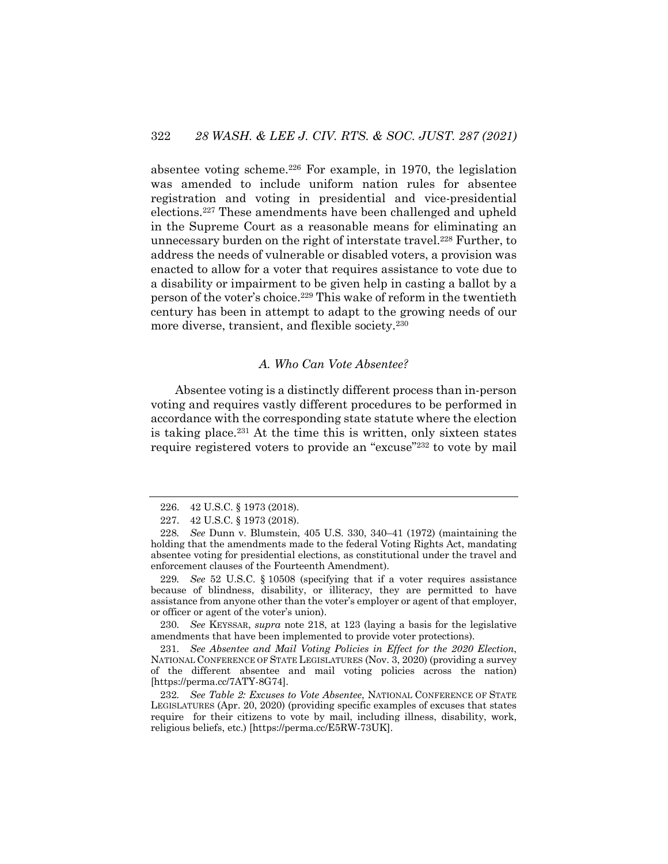absentee voting scheme.226 For example, in 1970, the legislation was amended to include uniform nation rules for absentee registration and voting in presidential and vice-presidential elections.227 These amendments have been challenged and upheld in the Supreme Court as a reasonable means for eliminating an unnecessary burden on the right of interstate travel.<sup>228</sup> Further, to address the needs of vulnerable or disabled voters, a provision was enacted to allow for a voter that requires assistance to vote due to a disability or impairment to be given help in casting a ballot by a person of the voter's choice.229 This wake of reform in the twentieth century has been in attempt to adapt to the growing needs of our more diverse, transient, and flexible society.230

## *A. Who Can Vote Absentee?*

Absentee voting is a distinctly different process than in-person voting and requires vastly different procedures to be performed in accordance with the corresponding state statute where the election is taking place.<sup>231</sup> At the time this is written, only sixteen states require registered voters to provide an "excuse"<sup>2232</sup> to vote by mail

229*. See* 52 U.S.C. § 10508 (specifying that if a voter requires assistance because of blindness, disability, or illiteracy, they are permitted to have assistance from anyone other than the voter's employer or agent of that employer, or officer or agent of the voter's union).

230*. See* KEYSSAR, *supra* note 218, at 123 (laying a basis for the legislative amendments that have been implemented to provide voter protections).

231*. See Absentee and Mail Voting Policies in Effect for the 2020 Election*, NATIONAL CONFERENCE OF STATE LEGISLATURES (Nov. 3, 2020) (providing a survey of the different absentee and mail voting policies across the nation) [https://perma.cc/7ATY-8G74].

232*. See Table 2: Excuses to Vote Absentee*, NATIONAL CONFERENCE OF STATE LEGISLATURES (Apr. 20, 2020) (providing specific examples of excuses that states require for their citizens to vote by mail, including illness, disability, work, religious beliefs, etc.) [https://perma.cc/E5RW-73UK].

<sup>226.</sup> 42 U.S.C. § 1973 (2018).

<sup>227.</sup> 42 U.S.C. § 1973 (2018).

<sup>228</sup>*. See* Dunn v. Blumstein, 405 U.S. 330, 340–41 (1972) (maintaining the holding that the amendments made to the federal Voting Rights Act, mandating absentee voting for presidential elections, as constitutional under the travel and enforcement clauses of the Fourteenth Amendment).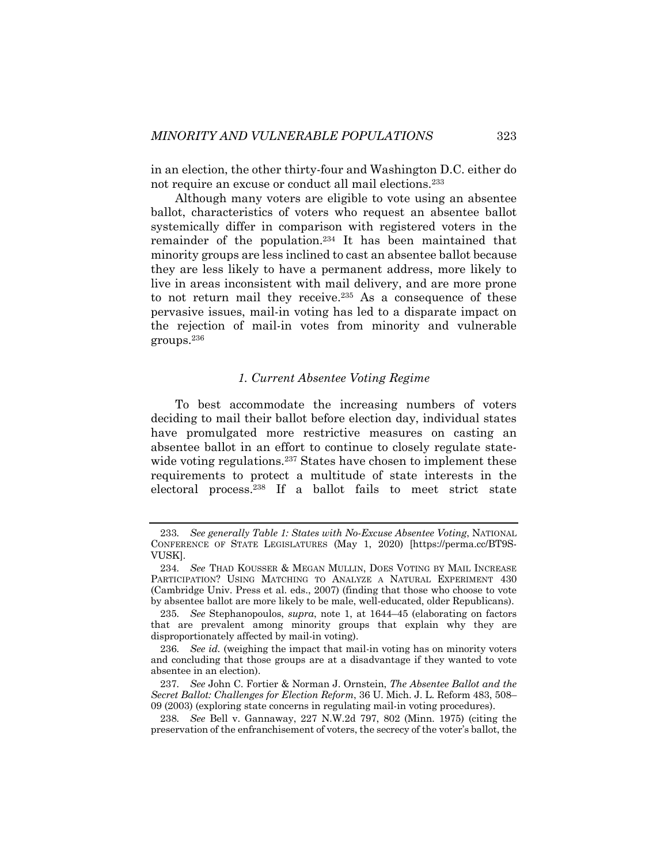in an election, the other thirty-four and Washington D.C. either do not require an excuse or conduct all mail elections.233

Although many voters are eligible to vote using an absentee ballot, characteristics of voters who request an absentee ballot systemically differ in comparison with registered voters in the remainder of the population.234 It has been maintained that minority groups are less inclined to cast an absentee ballot because they are less likely to have a permanent address, more likely to live in areas inconsistent with mail delivery, and are more prone to not return mail they receive.<sup>235</sup> As a consequence of these pervasive issues, mail-in voting has led to a disparate impact on the rejection of mail-in votes from minority and vulnerable groups.236

### *1. Current Absentee Voting Regime*

To best accommodate the increasing numbers of voters deciding to mail their ballot before election day, individual states have promulgated more restrictive measures on casting an absentee ballot in an effort to continue to closely regulate statewide voting regulations.<sup>237</sup> States have chosen to implement these requirements to protect a multitude of state interests in the electoral process.238 If a ballot fails to meet strict state

<sup>233</sup>*. See generally Table 1: States with No-Excuse Absentee Voting*, NATIONAL CONFERENCE OF STATE LEGISLATURES (May 1, 2020) [https://perma.cc/BT9S-VUSK].

<sup>234</sup>*. See* THAD KOUSSER & MEGAN MULLIN, DOES VOTING BY MAIL INCREASE PARTICIPATION? USING MATCHING TO ANALYZE A NATURAL EXPERIMENT 430 (Cambridge Univ. Press et al. eds., 2007) (finding that those who choose to vote by absentee ballot are more likely to be male, well-educated, older Republicans).

<sup>235</sup>*. See* Stephanopoulos, *supra*, note 1, at 1644–45 (elaborating on factors that are prevalent among minority groups that explain why they are disproportionately affected by mail-in voting).

<sup>236</sup>*. See id.* (weighing the impact that mail-in voting has on minority voters and concluding that those groups are at a disadvantage if they wanted to vote absentee in an election).

<sup>237</sup>*. See* John C. Fortier & Norman J. Ornstein, *The Absentee Ballot and the Secret Ballot: Challenges for Election Reform*, 36 U. Mich. J. L. Reform 483, 508– 09 (2003) (exploring state concerns in regulating mail-in voting procedures).

<sup>238</sup>*. See* Bell v. Gannaway, 227 N.W.2d 797, 802 (Minn. 1975) (citing the preservation of the enfranchisement of voters, the secrecy of the voter's ballot, the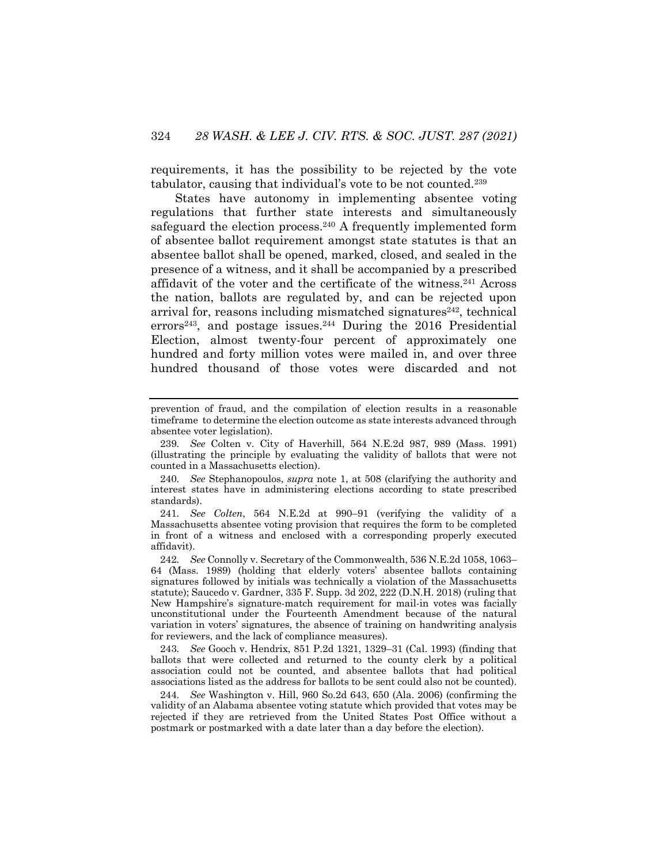requirements, it has the possibility to be rejected by the vote tabulator, causing that individual's vote to be not counted.239

States have autonomy in implementing absentee voting regulations that further state interests and simultaneously safeguard the election process.<sup>240</sup> A frequently implemented form of absentee ballot requirement amongst state statutes is that an absentee ballot shall be opened, marked, closed, and sealed in the presence of a witness, and it shall be accompanied by a prescribed affidavit of the voter and the certificate of the witness.241 Across the nation, ballots are regulated by, and can be rejected upon arrival for, reasons including mismatched signatures $242$ , technical errors<sup>243</sup>, and postage issues.<sup>244</sup> During the 2016 Presidential Election, almost twenty-four percent of approximately one hundred and forty million votes were mailed in, and over three hundred thousand of those votes were discarded and not

241*. See Colten*, 564 N.E.2d at 990–91 (verifying the validity of a Massachusetts absentee voting provision that requires the form to be completed in front of a witness and enclosed with a corresponding properly executed affidavit).

243*. See* Gooch v. Hendrix, 851 P.2d 1321, 1329–31 (Cal. 1993) (finding that ballots that were collected and returned to the county clerk by a political association could not be counted, and absentee ballots that had political associations listed as the address for ballots to be sent could also not be counted).

244*. See* Washington v. Hill, 960 So.2d 643, 650 (Ala. 2006) (confirming the validity of an Alabama absentee voting statute which provided that votes may be rejected if they are retrieved from the United States Post Office without a postmark or postmarked with a date later than a day before the election).

prevention of fraud, and the compilation of election results in a reasonable timeframe to determine the election outcome as state interests advanced through absentee voter legislation).

<sup>239</sup>*. See* Colten v. City of Haverhill, 564 N.E.2d 987, 989 (Mass. 1991) (illustrating the principle by evaluating the validity of ballots that were not counted in a Massachusetts election).

<sup>240</sup>*. See* Stephanopoulos, *supra* note 1, at 508 (clarifying the authority and interest states have in administering elections according to state prescribed standards).

<sup>242</sup>*. See* Connolly v. Secretary of the Commonwealth, 536 N.E.2d 1058, 1063– 64 (Mass. 1989) (holding that elderly voters' absentee ballots containing signatures followed by initials was technically a violation of the Massachusetts statute); Saucedo v. Gardner, 335 F. Supp. 3d 202, 222 (D.N.H. 2018) (ruling that New Hampshire's signature-match requirement for mail-in votes was facially unconstitutional under the Fourteenth Amendment because of the natural variation in voters' signatures, the absence of training on handwriting analysis for reviewers, and the lack of compliance measures).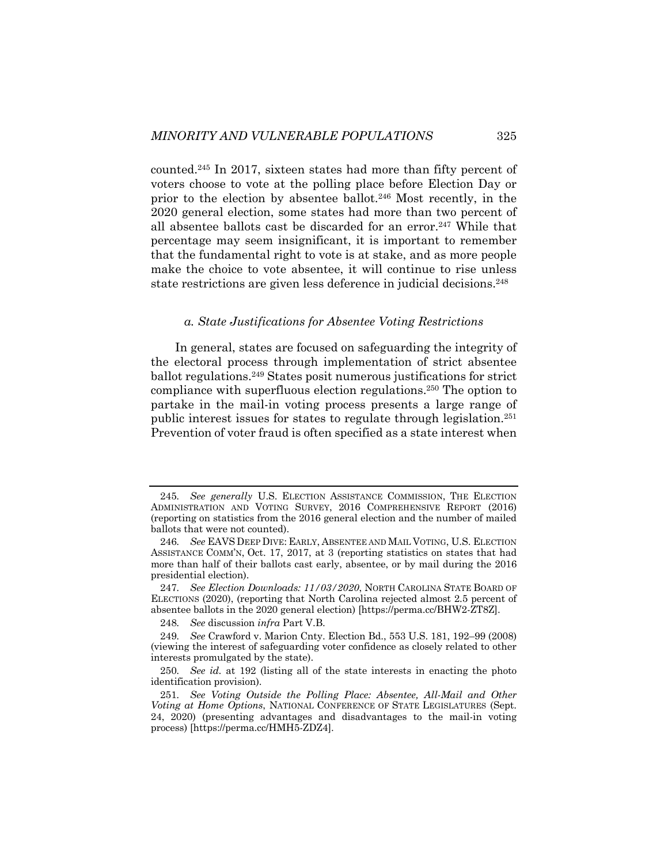counted.245 In 2017, sixteen states had more than fifty percent of voters choose to vote at the polling place before Election Day or prior to the election by absentee ballot.246 Most recently, in the 2020 general election, some states had more than two percent of all absentee ballots cast be discarded for an error.247 While that percentage may seem insignificant, it is important to remember that the fundamental right to vote is at stake, and as more people make the choice to vote absentee, it will continue to rise unless state restrictions are given less deference in judicial decisions.<sup>248</sup>

#### *a. State Justifications for Absentee Voting Restrictions*

In general, states are focused on safeguarding the integrity of the electoral process through implementation of strict absentee ballot regulations.249 States posit numerous justifications for strict compliance with superfluous election regulations.250 The option to partake in the mail-in voting process presents a large range of public interest issues for states to regulate through legislation.251 Prevention of voter fraud is often specified as a state interest when

<sup>245</sup>*. See generally* U.S. ELECTION ASSISTANCE COMMISSION, THE ELECTION ADMINISTRATION AND VOTING SURVEY, 2016 COMPREHENSIVE REPORT (2016) (reporting on statistics from the 2016 general election and the number of mailed ballots that were not counted).

<sup>246</sup>*. See* EAVS DEEP DIVE: EARLY, ABSENTEE AND MAIL VOTING, U.S. ELECTION ASSISTANCE COMM'N, Oct. 17, 2017, at 3 (reporting statistics on states that had more than half of their ballots cast early, absentee, or by mail during the 2016 presidential election).

<sup>247</sup>*. See Election Downloads: 11/03/2020*, NORTH CAROLINA STATE BOARD OF ELECTIONS (2020), (reporting that North Carolina rejected almost 2.5 percent of absentee ballots in the 2020 general election) [https://perma.cc/BHW2-ZT8Z].

<sup>248</sup>*. See* discussion *infra* Part V.B.

<sup>249</sup>*. See* Crawford v. Marion Cnty. Election Bd., 553 U.S. 181, 192–99 (2008) (viewing the interest of safeguarding voter confidence as closely related to other interests promulgated by the state).

<sup>250</sup>*. See id.* at 192 (listing all of the state interests in enacting the photo identification provision).

<sup>251</sup>*. See Voting Outside the Polling Place: Absentee, All-Mail and Other Voting at Home Options*, NATIONAL CONFERENCE OF STATE LEGISLATURES (Sept. 24, 2020) (presenting advantages and disadvantages to the mail-in voting process) [https://perma.cc/HMH5-ZDZ4].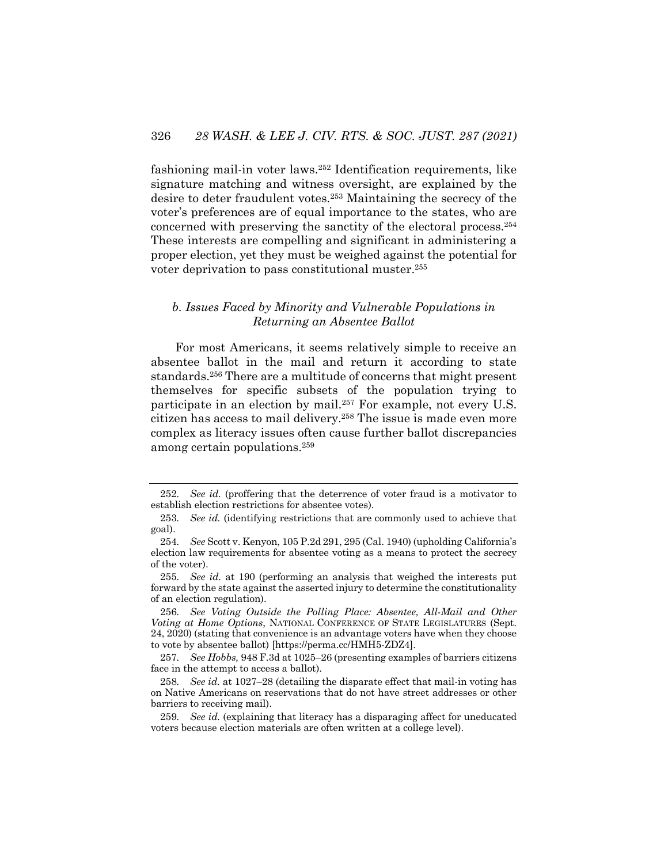fashioning mail-in voter laws.252 Identification requirements, like signature matching and witness oversight, are explained by the desire to deter fraudulent votes.253 Maintaining the secrecy of the voter's preferences are of equal importance to the states, who are concerned with preserving the sanctity of the electoral process.254 These interests are compelling and significant in administering a proper election, yet they must be weighed against the potential for voter deprivation to pass constitutional muster.255

## *b. Issues Faced by Minority and Vulnerable Populations in Returning an Absentee Ballot*

For most Americans, it seems relatively simple to receive an absentee ballot in the mail and return it according to state standards.256 There are a multitude of concerns that might present themselves for specific subsets of the population trying to participate in an election by mail.257 For example, not every U.S. citizen has access to mail delivery.258 The issue is made even more complex as literacy issues often cause further ballot discrepancies among certain populations.259

<sup>252</sup>*. See id.* (proffering that the deterrence of voter fraud is a motivator to establish election restrictions for absentee votes).

<sup>253</sup>*. See id.* (identifying restrictions that are commonly used to achieve that goal).

<sup>254</sup>*. See* Scott v. Kenyon, 105 P.2d 291, 295 (Cal. 1940) (upholding California's election law requirements for absentee voting as a means to protect the secrecy of the voter).

<sup>255</sup>*. See id.* at 190 (performing an analysis that weighed the interests put forward by the state against the asserted injury to determine the constitutionality of an election regulation).

<sup>256</sup>*. See Voting Outside the Polling Place: Absentee, All-Mail and Other Voting at Home Options*, NATIONAL CONFERENCE OF STATE LEGISLATURES (Sept. 24, 2020) (stating that convenience is an advantage voters have when they choose to vote by absentee ballot) [https://perma.cc/HMH5-ZDZ4].

<sup>257</sup>*. See Hobbs,* 948 F.3d at 1025–26 (presenting examples of barriers citizens face in the attempt to access a ballot).

<sup>258</sup>*. See id.* at 1027–28 (detailing the disparate effect that mail-in voting has on Native Americans on reservations that do not have street addresses or other barriers to receiving mail).

<sup>259</sup>*. See id.* (explaining that literacy has a disparaging affect for uneducated voters because election materials are often written at a college level).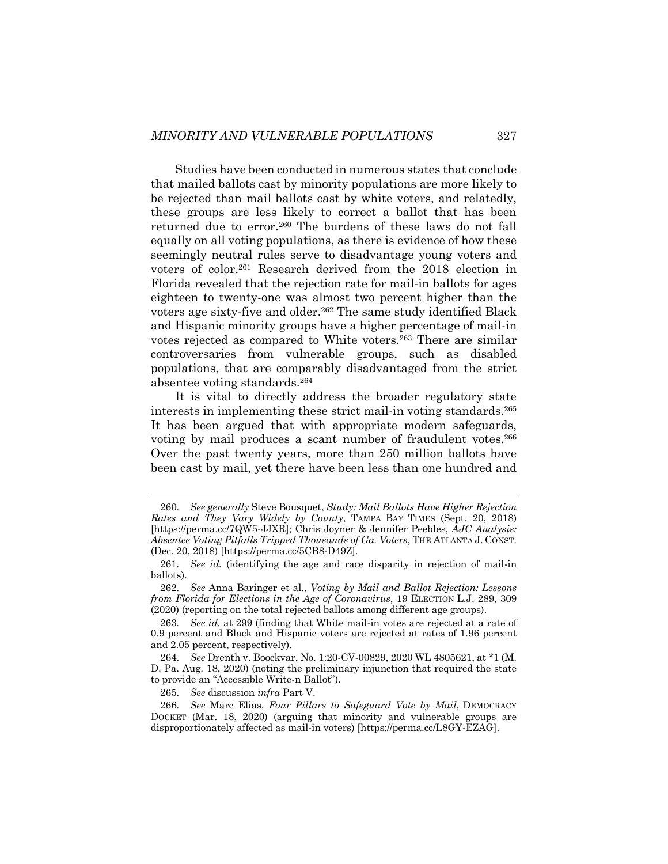Studies have been conducted in numerous states that conclude that mailed ballots cast by minority populations are more likely to be rejected than mail ballots cast by white voters, and relatedly, these groups are less likely to correct a ballot that has been returned due to error.<sup>260</sup> The burdens of these laws do not fall equally on all voting populations, as there is evidence of how these seemingly neutral rules serve to disadvantage young voters and voters of color.261 Research derived from the 2018 election in Florida revealed that the rejection rate for mail-in ballots for ages eighteen to twenty-one was almost two percent higher than the voters age sixty-five and older.262 The same study identified Black and Hispanic minority groups have a higher percentage of mail-in votes rejected as compared to White voters.263 There are similar controversaries from vulnerable groups, such as disabled populations, that are comparably disadvantaged from the strict absentee voting standards.264

It is vital to directly address the broader regulatory state interests in implementing these strict mail-in voting standards.265 It has been argued that with appropriate modern safeguards, voting by mail produces a scant number of fraudulent votes.<sup>266</sup> Over the past twenty years, more than 250 million ballots have been cast by mail, yet there have been less than one hundred and

<sup>260</sup>*. See generally* Steve Bousquet, *Study: Mail Ballots Have Higher Rejection Rates and They Vary Widely by County*, TAMPA BAY TIMES (Sept. 20, 2018) [https://perma.cc/7QW5-JJXR]; Chris Joyner & Jennifer Peebles, *AJC Analysis: Absentee Voting Pitfalls Tripped Thousands of Ga. Voters*, THE ATLANTA J. CONST. (Dec. 20, 2018) [https://perma.cc/5CB8-D49Z].

<sup>261</sup>*. See id.* (identifying the age and race disparity in rejection of mail-in ballots).

<sup>262</sup>*. See* Anna Baringer et al., *Voting by Mail and Ballot Rejection: Lessons from Florida for Elections in the Age of Coronavirus*, 19 ELECTION L.J. 289, 309 (2020) (reporting on the total rejected ballots among different age groups).

<sup>263</sup>*. See id.* at 299 (finding that White mail-in votes are rejected at a rate of 0.9 percent and Black and Hispanic voters are rejected at rates of 1.96 percent and 2.05 percent, respectively).

<sup>264</sup>*. See* Drenth v. Boockvar, No. 1:20-CV-00829, 2020 WL 4805621, at \*1 (M. D. Pa. Aug. 18, 2020) (noting the preliminary injunction that required the state to provide an "Accessible Write-n Ballot").

<sup>265</sup>*. See* discussion *infra* Part V.

<sup>266</sup>*. See* Marc Elias, *Four Pillars to Safeguard Vote by Mail*, DEMOCRACY DOCKET (Mar. 18, 2020) (arguing that minority and vulnerable groups are disproportionately affected as mail-in voters) [https://perma.cc/L8GY-EZAG].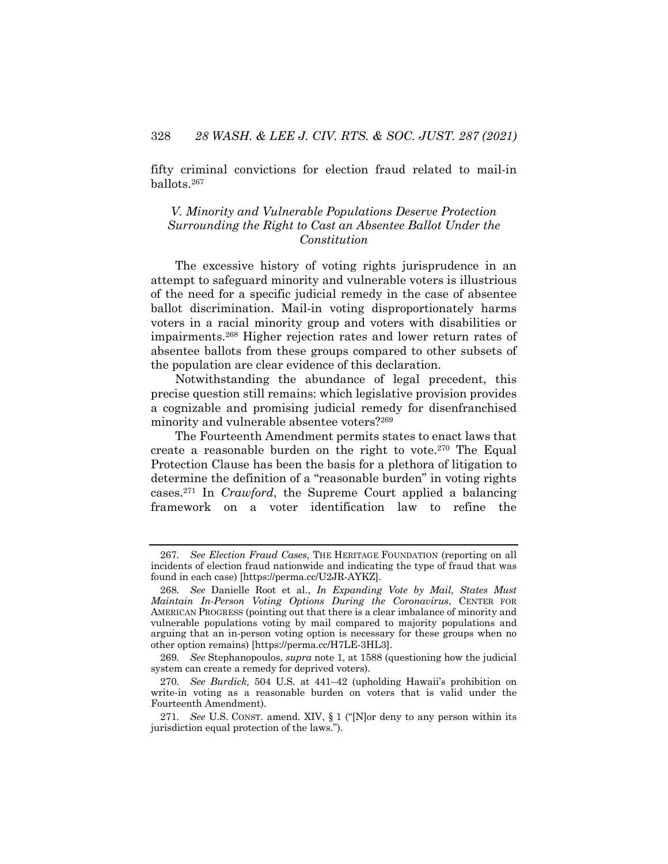fifty criminal convictions for election fraud related to mail-in ballots.267

## *V. Minority and Vulnerable Populations Deserve Protection Surrounding the Right to Cast an Absentee Ballot Under the Constitution*

The excessive history of voting rights jurisprudence in an attempt to safeguard minority and vulnerable voters is illustrious of the need for a specific judicial remedy in the case of absentee ballot discrimination. Mail-in voting disproportionately harms voters in a racial minority group and voters with disabilities or impairments.268 Higher rejection rates and lower return rates of absentee ballots from these groups compared to other subsets of the population are clear evidence of this declaration.

Notwithstanding the abundance of legal precedent, this precise question still remains: which legislative provision provides a cognizable and promising judicial remedy for disenfranchised minority and vulnerable absentee voters?269

The Fourteenth Amendment permits states to enact laws that create a reasonable burden on the right to vote.<sup>270</sup> The Equal Protection Clause has been the basis for a plethora of litigation to determine the definition of a "reasonable burden" in voting rights cases.271 In *Crawford*, the Supreme Court applied a balancing framework on a voter identification law to refine the

<sup>267</sup>*. See Election Fraud Cases*, THE HERITAGE FOUNDATION (reporting on all incidents of election fraud nationwide and indicating the type of fraud that was found in each case) [https://perma.cc/U2JR-AYKZ].

<sup>268</sup>*. See* Danielle Root et al., *In Expanding Vote by Mail, States Must Maintain In-Person Voting Options During the Coronavirus*, CENTER FOR AMERICAN PROGRESS (pointing out that there is a clear imbalance of minority and vulnerable populations voting by mail compared to majority populations and arguing that an in-person voting option is necessary for these groups when no other option remains) [https://perma.cc/H7LE-3HL3].

<sup>269</sup>*. See* Stephanopoulos, *supra* note 1, at 1588 (questioning how the judicial system can create a remedy for deprived voters).

<sup>270</sup>*. See Burdick,* 504 U.S. at 441–42 (upholding Hawaii's prohibition on write-in voting as a reasonable burden on voters that is valid under the Fourteenth Amendment).

<sup>271</sup>*. See* U.S. CONST. amend. XIV, § 1 ("[N]or deny to any person within its jurisdiction equal protection of the laws.").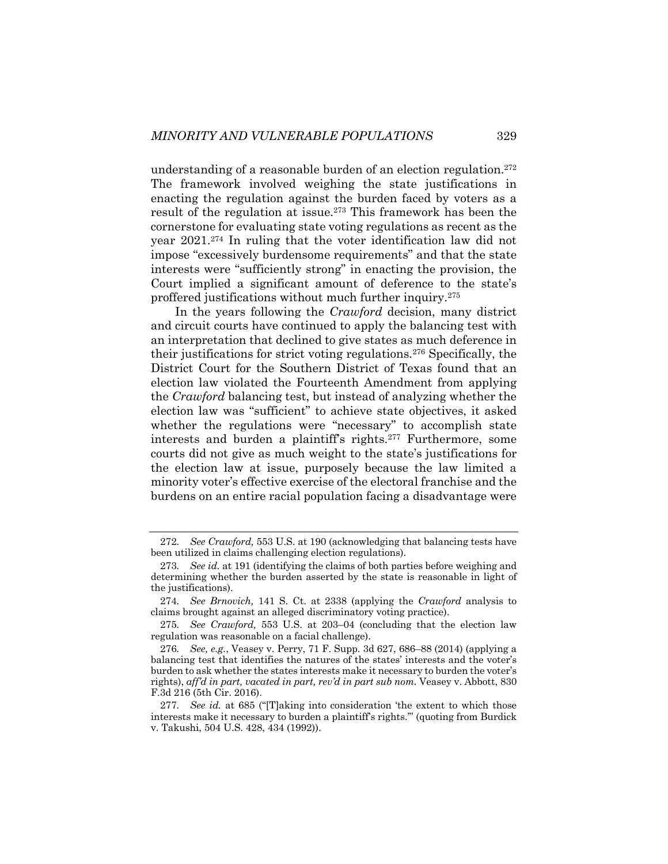understanding of a reasonable burden of an election regulation.272 The framework involved weighing the state justifications in enacting the regulation against the burden faced by voters as a result of the regulation at issue.273 This framework has been the cornerstone for evaluating state voting regulations as recent as the year 2021.274 In ruling that the voter identification law did not impose "excessively burdensome requirements" and that the state interests were "sufficiently strong" in enacting the provision, the Court implied a significant amount of deference to the state's proffered justifications without much further inquiry.275

In the years following the *Crawford* decision, many district and circuit courts have continued to apply the balancing test with an interpretation that declined to give states as much deference in their justifications for strict voting regulations.276 Specifically, the District Court for the Southern District of Texas found that an election law violated the Fourteenth Amendment from applying the *Crawford* balancing test, but instead of analyzing whether the election law was "sufficient" to achieve state objectives, it asked whether the regulations were "necessary" to accomplish state interests and burden a plaintiff's rights.<sup>277</sup> Furthermore, some courts did not give as much weight to the state's justifications for the election law at issue, purposely because the law limited a minority voter's effective exercise of the electoral franchise and the burdens on an entire racial population facing a disadvantage were

<sup>272</sup>*. See Crawford,* 553 U.S. at 190 (acknowledging that balancing tests have been utilized in claims challenging election regulations).

<sup>273</sup>*. See id.* at 191 (identifying the claims of both parties before weighing and determining whether the burden asserted by the state is reasonable in light of the justifications).

<sup>274</sup>*. See Brnovich,* 141 S. Ct. at 2338 (applying the *Crawford* analysis to claims brought against an alleged discriminatory voting practice).

<sup>275</sup>*. See Crawford,* 553 U.S. at 203–04 (concluding that the election law regulation was reasonable on a facial challenge).

<sup>276</sup>*. See, e.g.*, Veasey v. Perry, 71 F. Supp. 3d 627, 686–88 (2014) (applying a balancing test that identifies the natures of the states' interests and the voter's burden to ask whether the states interests make it necessary to burden the voter's rights), *aff'd in part, vacated in part, rev'd in part sub nom.* Veasey v. Abbott, 830 F.3d 216 (5th Cir. 2016).

<sup>277</sup>*. See id.* at 685 ("[T]aking into consideration 'the extent to which those interests make it necessary to burden a plaintiff's rights.'" (quoting from Burdick v. Takushi, 504 U.S. 428, 434 (1992)).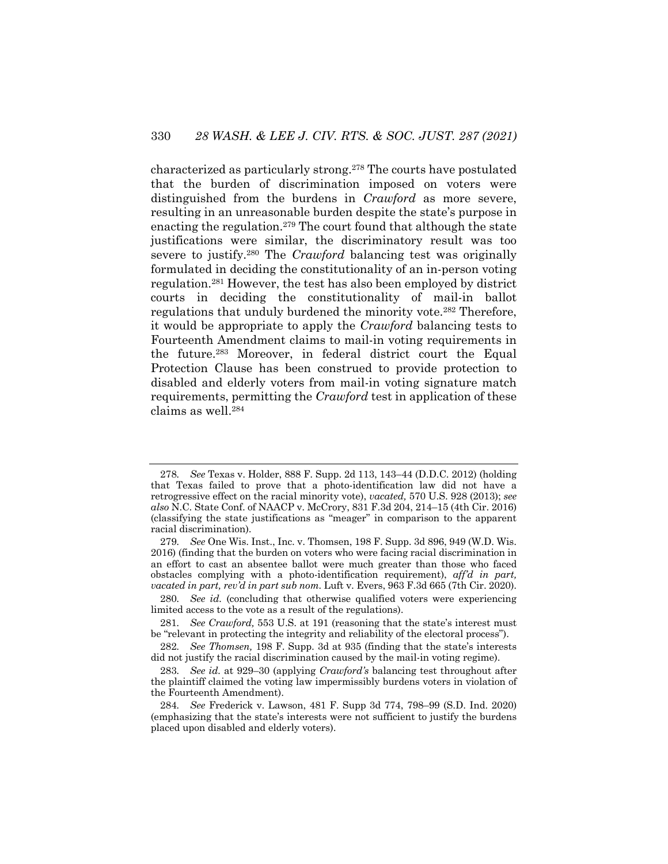characterized as particularly strong.278 The courts have postulated that the burden of discrimination imposed on voters were distinguished from the burdens in *Crawford* as more severe, resulting in an unreasonable burden despite the state's purpose in enacting the regulation. <sup>279</sup> The court found that although the state justifications were similar, the discriminatory result was too severe to justify.280 The *Crawford* balancing test was originally formulated in deciding the constitutionality of an in-person voting regulation.281 However, the test has also been employed by district courts in deciding the constitutionality of mail-in ballot regulations that unduly burdened the minority vote.282 Therefore, it would be appropriate to apply the *Crawford* balancing tests to Fourteenth Amendment claims to mail-in voting requirements in the future.283 Moreover, in federal district court the Equal Protection Clause has been construed to provide protection to disabled and elderly voters from mail-in voting signature match requirements, permitting the *Crawford* test in application of these claims as well.284

<sup>278</sup>*. See* Texas v. Holder, 888 F. Supp. 2d 113, 143–44 (D.D.C. 2012) (holding that Texas failed to prove that a photo-identification law did not have a retrogressive effect on the racial minority vote), *vacated,* 570 U.S. 928 (2013); *see also* N.C. State Conf. of NAACP v. McCrory, 831 F.3d 204, 214–15 (4th Cir. 2016) (classifying the state justifications as "meager" in comparison to the apparent racial discrimination).

<sup>279</sup>*. See* One Wis. Inst., Inc. v. Thomsen, 198 F. Supp. 3d 896, 949 (W.D. Wis. 2016) (finding that the burden on voters who were facing racial discrimination in an effort to cast an absentee ballot were much greater than those who faced obstacles complying with a photo-identification requirement), *aff'd in part, vacated in part, rev'd in part sub nom.* Luft v. Evers, 963 F.3d 665 (7th Cir. 2020).

<sup>280</sup>*. See id.* (concluding that otherwise qualified voters were experiencing limited access to the vote as a result of the regulations).

<sup>281</sup>*. See Crawford,* 553 U.S. at 191 (reasoning that the state's interest must be "relevant in protecting the integrity and reliability of the electoral process").

<sup>282</sup>*. See Thomsen,* 198 F. Supp. 3d at 935 (finding that the state's interests did not justify the racial discrimination caused by the mail-in voting regime).

<sup>283</sup>*. See id.* at 929–30 (applying *Crawford's* balancing test throughout after the plaintiff claimed the voting law impermissibly burdens voters in violation of the Fourteenth Amendment).

<sup>284</sup>*. See* Frederick v. Lawson, 481 F. Supp 3d 774, 798–99 (S.D. Ind. 2020) (emphasizing that the state's interests were not sufficient to justify the burdens placed upon disabled and elderly voters).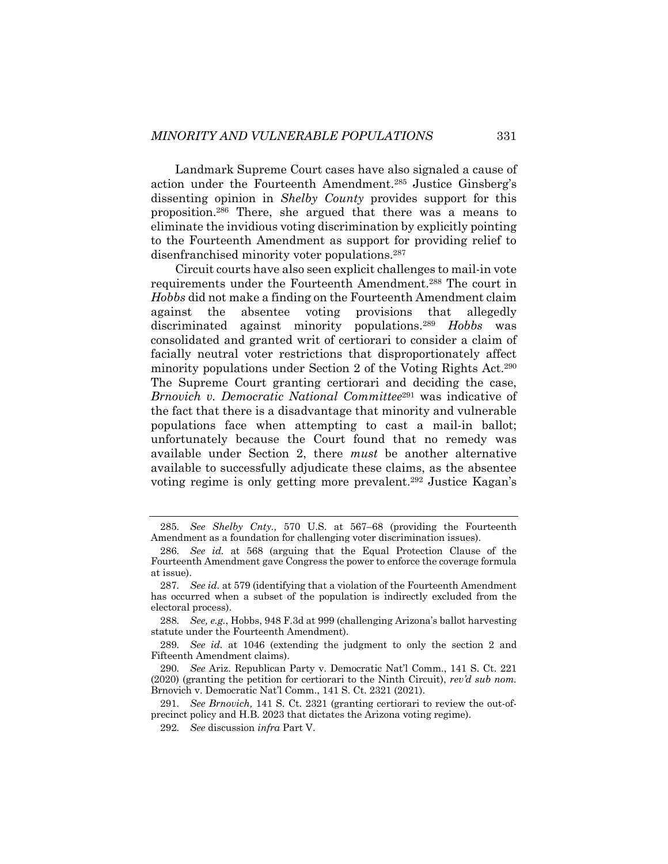Landmark Supreme Court cases have also signaled a cause of action under the Fourteenth Amendment.285 Justice Ginsberg's dissenting opinion in *Shelby County* provides support for this proposition. <sup>286</sup> There, she argued that there was a means to eliminate the invidious voting discrimination by explicitly pointing to the Fourteenth Amendment as support for providing relief to disenfranchised minority voter populations.287

Circuit courts have also seen explicit challenges to mail-in vote requirements under the Fourteenth Amendment.288 The court in *Hobbs* did not make a finding on the Fourteenth Amendment claim against the absentee voting provisions that allegedly discriminated against minority populations.289 *Hobbs* was consolidated and granted writ of certiorari to consider a claim of facially neutral voter restrictions that disproportionately affect minority populations under Section 2 of the Voting Rights Act.290 The Supreme Court granting certiorari and deciding the case, *Brnovich v. Democratic National Committee*<sup>291</sup> was indicative of the fact that there is a disadvantage that minority and vulnerable populations face when attempting to cast a mail-in ballot; unfortunately because the Court found that no remedy was available under Section 2, there *must* be another alternative available to successfully adjudicate these claims, as the absentee voting regime is only getting more prevalent.292 Justice Kagan's

289*. See id.* at 1046 (extending the judgment to only the section 2 and Fifteenth Amendment claims).

290*. See* Ariz. Republican Party v. Democratic Nat'l Comm., 141 S. Ct. 221 (2020) (granting the petition for certiorari to the Ninth Circuit), *rev'd sub nom.*  Brnovich v. Democratic Nat'l Comm., 141 S. Ct. 2321 (2021).

291*. See Brnovich,* 141 S. Ct. 2321 (granting certiorari to review the out-ofprecinct policy and H.B. 2023 that dictates the Arizona voting regime).

292*. See* discussion *infra* Part V.

<sup>285</sup>*. See Shelby Cnty.,* 570 U.S. at 567–68 (providing the Fourteenth Amendment as a foundation for challenging voter discrimination issues).

<sup>286</sup>*. See id.* at 568 (arguing that the Equal Protection Clause of the Fourteenth Amendment gave Congress the power to enforce the coverage formula at issue).

<sup>287</sup>*. See id.* at 579 (identifying that a violation of the Fourteenth Amendment has occurred when a subset of the population is indirectly excluded from the electoral process).

<sup>288</sup>*. See, e.g.*, Hobbs, 948 F.3d at 999 (challenging Arizona's ballot harvesting statute under the Fourteenth Amendment).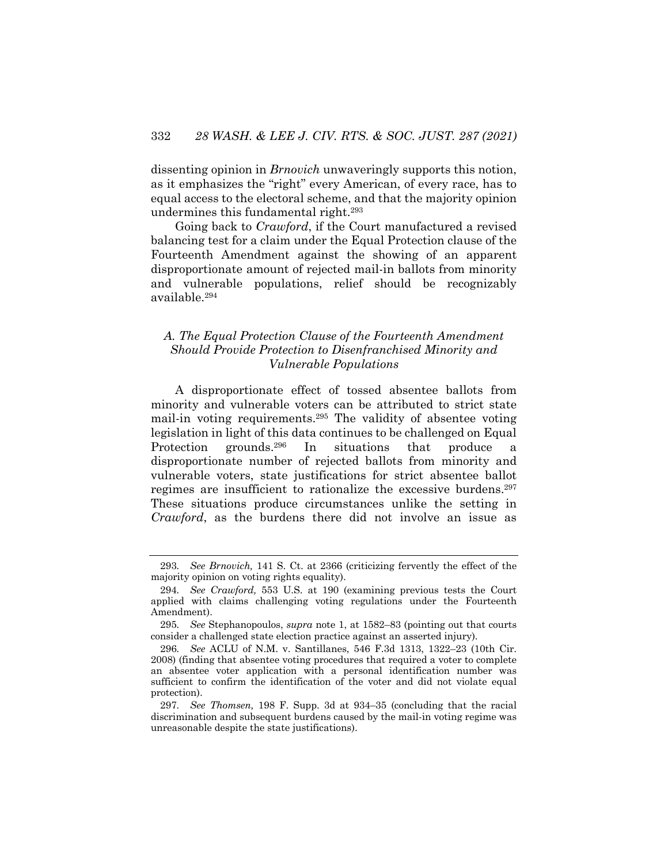dissenting opinion in *Brnovich* unwaveringly supports this notion, as it emphasizes the "right" every American, of every race, has to equal access to the electoral scheme, and that the majority opinion undermines this fundamental right.293

Going back to *Crawford*, if the Court manufactured a revised balancing test for a claim under the Equal Protection clause of the Fourteenth Amendment against the showing of an apparent disproportionate amount of rejected mail-in ballots from minority and vulnerable populations, relief should be recognizably available.294

## *A. The Equal Protection Clause of the Fourteenth Amendment Should Provide Protection to Disenfranchised Minority and Vulnerable Populations*

A disproportionate effect of tossed absentee ballots from minority and vulnerable voters can be attributed to strict state mail-in voting requirements.295 The validity of absentee voting legislation in light of this data continues to be challenged on Equal Protection grounds.296 In situations that produce a disproportionate number of rejected ballots from minority and vulnerable voters, state justifications for strict absentee ballot regimes are insufficient to rationalize the excessive burdens.297 These situations produce circumstances unlike the setting in *Crawford*, as the burdens there did not involve an issue as

<sup>293</sup>*. See Brnovich,* 141 S. Ct. at 2366 (criticizing fervently the effect of the majority opinion on voting rights equality).

<sup>294</sup>*. See Crawford,* 553 U.S. at 190 (examining previous tests the Court applied with claims challenging voting regulations under the Fourteenth Amendment).

<sup>295</sup>*. See* Stephanopoulos, *supra* note 1, at 1582–83 (pointing out that courts consider a challenged state election practice against an asserted injury).

<sup>296</sup>*. See* ACLU of N.M. v. Santillanes, 546 F.3d 1313, 1322–23 (10th Cir. 2008) (finding that absentee voting procedures that required a voter to complete an absentee voter application with a personal identification number was sufficient to confirm the identification of the voter and did not violate equal protection).

<sup>297</sup>*. See Thomsen,* 198 F. Supp. 3d at 934–35 (concluding that the racial discrimination and subsequent burdens caused by the mail-in voting regime was unreasonable despite the state justifications).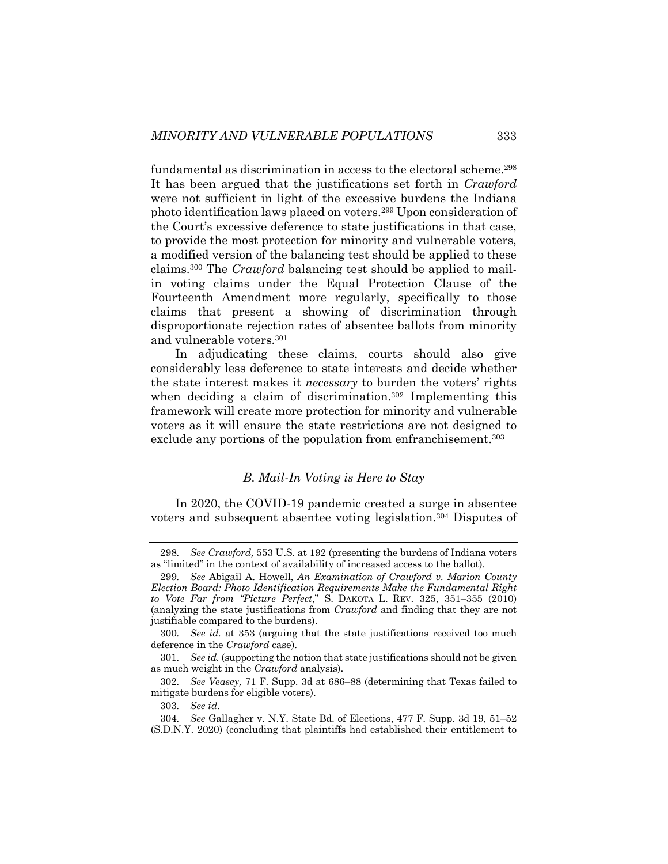fundamental as discrimination in access to the electoral scheme.<sup>298</sup> It has been argued that the justifications set forth in *Crawford*  were not sufficient in light of the excessive burdens the Indiana photo identification laws placed on voters.299 Upon consideration of the Court's excessive deference to state justifications in that case, to provide the most protection for minority and vulnerable voters, a modified version of the balancing test should be applied to these claims.300 The *Crawford* balancing test should be applied to mailin voting claims under the Equal Protection Clause of the Fourteenth Amendment more regularly, specifically to those claims that present a showing of discrimination through disproportionate rejection rates of absentee ballots from minority and vulnerable voters.301

In adjudicating these claims, courts should also give considerably less deference to state interests and decide whether the state interest makes it *necessary* to burden the voters' rights when deciding a claim of discrimination.<sup>302</sup> Implementing this framework will create more protection for minority and vulnerable voters as it will ensure the state restrictions are not designed to exclude any portions of the population from enfranchisement.<sup>303</sup>

## *B. Mail-In Voting is Here to Stay*

In 2020, the COVID-19 pandemic created a surge in absentee voters and subsequent absentee voting legislation.304 Disputes of

<sup>298</sup>*. See Crawford,* 553 U.S. at 192 (presenting the burdens of Indiana voters as "limited" in the context of availability of increased access to the ballot).

<sup>299</sup>*. See* Abigail A. Howell, *An Examination of Crawford v. Marion County Election Board: Photo Identification Requirements Make the Fundamental Right to Vote Far from "Picture Perfect*," S. DAKOTA L. REV. 325, 351–355 (2010) (analyzing the state justifications from *Crawford* and finding that they are not justifiable compared to the burdens).

<sup>300</sup>*. See id.* at 353 (arguing that the state justifications received too much deference in the *Crawford* case).

<sup>301</sup>*. See id.* (supporting the notion that state justifications should not be given as much weight in the *Crawford* analysis).

<sup>302</sup>*. See Veasey,* 71 F. Supp. 3d at 686–88 (determining that Texas failed to mitigate burdens for eligible voters).

<sup>303</sup>*. See id*.

<sup>304</sup>*. See* Gallagher v. N.Y. State Bd. of Elections, 477 F. Supp. 3d 19, 51–52 (S.D.N.Y. 2020) (concluding that plaintiffs had established their entitlement to